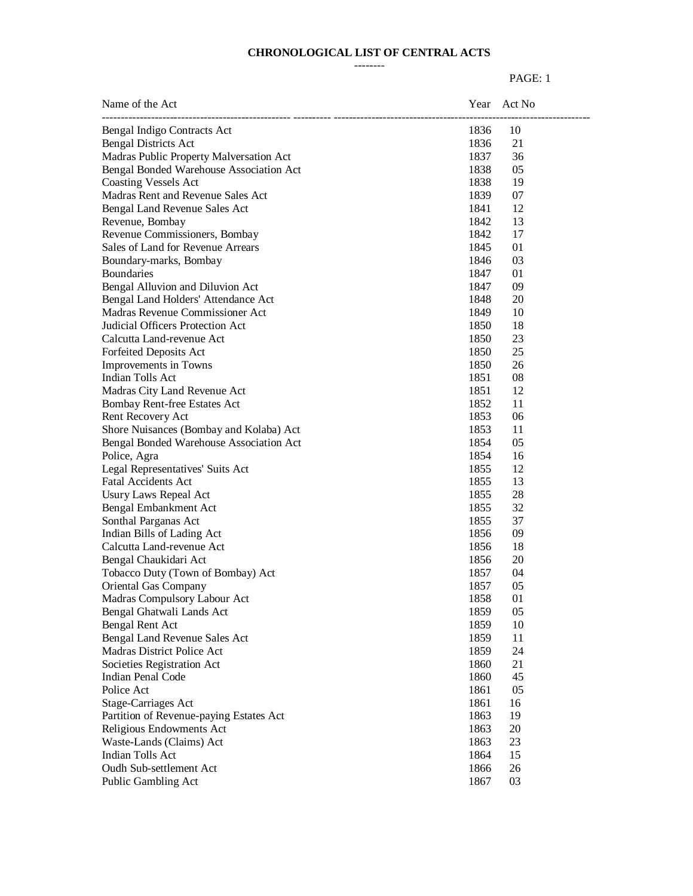#### **CHRONOLOGICAL LIST OF CENTRAL ACTS** --------

| Name of the Act                         |      | Year Act No |
|-----------------------------------------|------|-------------|
| Bengal Indigo Contracts Act             | 1836 | 10          |
| <b>Bengal Districts Act</b>             | 1836 | 21          |
| Madras Public Property Malversation Act | 1837 | 36          |
| Bengal Bonded Warehouse Association Act | 1838 | 05          |
| <b>Coasting Vessels Act</b>             | 1838 | 19          |
| Madras Rent and Revenue Sales Act       | 1839 | 07          |
| Bengal Land Revenue Sales Act           | 1841 | 12          |
| Revenue, Bombay                         | 1842 | 13          |
| Revenue Commissioners, Bombay           | 1842 | 17          |
| Sales of Land for Revenue Arrears       | 1845 | 01          |
| Boundary-marks, Bombay                  | 1846 | 03          |
| <b>Boundaries</b>                       | 1847 | 01          |
| Bengal Alluvion and Diluvion Act        | 1847 | 09          |
| Bengal Land Holders' Attendance Act     | 1848 | 20          |
| Madras Revenue Commissioner Act         | 1849 | 10          |
| Judicial Officers Protection Act        | 1850 | 18          |
| Calcutta Land-revenue Act               | 1850 | 23          |
| Forfeited Deposits Act                  | 1850 | 25          |
| Improvements in Towns                   | 1850 | 26          |
| Indian Tolls Act                        | 1851 | 08          |
| Madras City Land Revenue Act            | 1851 | 12          |
| Bombay Rent-free Estates Act            | 1852 | 11          |
| Rent Recovery Act                       | 1853 | 06          |
| Shore Nuisances (Bombay and Kolaba) Act | 1853 | 11          |
| Bengal Bonded Warehouse Association Act | 1854 | 05          |
| Police, Agra                            | 1854 | 16          |
| Legal Representatives' Suits Act        | 1855 | 12          |
| <b>Fatal Accidents Act</b>              | 1855 | 13          |
| Usury Laws Repeal Act                   | 1855 | 28          |
| Bengal Embankment Act                   | 1855 | 32          |
| Sonthal Parganas Act                    | 1855 | 37          |
| Indian Bills of Lading Act              | 1856 | 09          |
| Calcutta Land-revenue Act               | 1856 | 18          |
| Bengal Chaukidari Act                   | 1856 | 20          |
| Tobacco Duty (Town of Bombay) Act       | 1857 | 04          |
| Oriental Gas Company                    | 1857 | 05          |
| Madras Compulsory Labour Act            | 1858 | 01          |
| Bengal Ghatwali Lands Act               | 1859 | 05          |
| Bengal Rent Act                         | 1859 | 10          |
| Bengal Land Revenue Sales Act           | 1859 | 11          |
| Madras District Police Act              | 1859 | 24          |
| Societies Registration Act              | 1860 | 21          |
| <b>Indian Penal Code</b>                | 1860 | 45          |
| Police Act                              | 1861 | 05          |
|                                         | 1861 | 16          |
| Stage-Carriages Act                     |      |             |
| Partition of Revenue-paying Estates Act | 1863 | 19          |
| Religious Endowments Act                | 1863 | 20          |
| Waste-Lands (Claims) Act                | 1863 | 23          |
| Indian Tolls Act                        | 1864 | 15          |
| Oudh Sub-settlement Act                 | 1866 | 26          |
| Public Gambling Act                     | 1867 | 03          |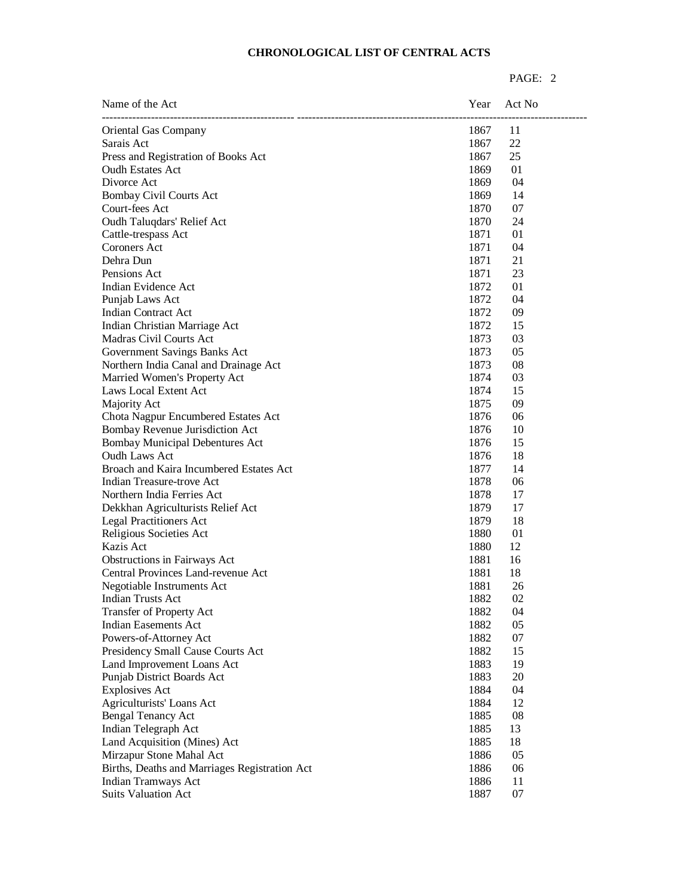| 11<br>Oriental Gas Company<br>1867<br>Sarais Act<br>22<br>1867<br>1867<br>25<br>Press and Registration of Books Act<br><b>Oudh Estates Act</b><br>1869<br>01<br>04<br>1869<br>1869<br>14<br>Bombay Civil Courts Act<br>1870<br>07<br>Oudh Taluqdars' Relief Act<br>1870<br>24<br>01<br>Cattle-trespass Act<br>1871<br>1871<br>04<br>1871<br>21<br>1871<br>23<br>Indian Evidence Act<br>1872<br>01<br>1872<br>04<br>1872<br>09<br>Indian Contract Act<br>1872<br>Indian Christian Marriage Act<br>15<br>1873<br>03<br>Madras Civil Courts Act<br>1873<br>05<br>Government Savings Banks Act<br>1873<br>08<br>Northern India Canal and Drainage Act<br>1874<br>Married Women's Property Act<br>03<br>1874<br>Laws Local Extent Act<br>15<br>09<br>Majority Act<br>1875<br>Chota Nagpur Encumbered Estates Act<br>1876<br>06<br>Bombay Revenue Jurisdiction Act<br>1876<br>10<br><b>Bombay Municipal Debentures Act</b><br>1876<br>15<br>Oudh Laws Act<br>1876<br>18<br>Broach and Kaira Incumbered Estates Act<br>1877<br>14<br>1878<br>Indian Treasure-trove Act<br>06<br>Northern India Ferries Act<br>1878<br>17<br>1879<br>Dekkhan Agriculturists Relief Act<br>17<br><b>Legal Practitioners Act</b><br>1879<br>18<br>1880<br>Religious Societies Act<br>01<br>Kazis Act<br>1880<br>12<br>Obstructions in Fairways Act<br>1881<br>16<br>Central Provinces Land-revenue Act<br>1881<br>18<br>1881<br>26<br>Negotiable Instruments Act<br>1882<br>02<br>Indian Trusts Act<br>Transfer of Property Act<br>1882<br>04<br><b>Indian Easements Act</b><br>1882<br>05<br>1882<br>Powers-of-Attorney Act<br>07<br>1882<br>Presidency Small Cause Courts Act<br>15<br>1883<br>Land Improvement Loans Act<br>19<br>1883<br>Punjab District Boards Act<br>20<br>1884<br><b>Explosives Act</b><br>04<br>1884<br>Agriculturists' Loans Act<br>12<br>1885<br>08<br><b>Bengal Tenancy Act</b><br>Indian Telegraph Act<br>1885<br>13<br>Land Acquisition (Mines) Act<br>1885<br>18<br>Mirzapur Stone Mahal Act<br>1886<br>05<br>Births, Deaths and Marriages Registration Act<br>1886<br>06 | Name of the Act | Year | Act No |
|-------------------------------------------------------------------------------------------------------------------------------------------------------------------------------------------------------------------------------------------------------------------------------------------------------------------------------------------------------------------------------------------------------------------------------------------------------------------------------------------------------------------------------------------------------------------------------------------------------------------------------------------------------------------------------------------------------------------------------------------------------------------------------------------------------------------------------------------------------------------------------------------------------------------------------------------------------------------------------------------------------------------------------------------------------------------------------------------------------------------------------------------------------------------------------------------------------------------------------------------------------------------------------------------------------------------------------------------------------------------------------------------------------------------------------------------------------------------------------------------------------------------------------------------------------------------------------------------------------------------------------------------------------------------------------------------------------------------------------------------------------------------------------------------------------------------------------------------------------------------------------------------------------------------------------------------------------------------------------------------------------------------------------------------------------------------------------|-----------------|------|--------|
|                                                                                                                                                                                                                                                                                                                                                                                                                                                                                                                                                                                                                                                                                                                                                                                                                                                                                                                                                                                                                                                                                                                                                                                                                                                                                                                                                                                                                                                                                                                                                                                                                                                                                                                                                                                                                                                                                                                                                                                                                                                                               |                 |      |        |
|                                                                                                                                                                                                                                                                                                                                                                                                                                                                                                                                                                                                                                                                                                                                                                                                                                                                                                                                                                                                                                                                                                                                                                                                                                                                                                                                                                                                                                                                                                                                                                                                                                                                                                                                                                                                                                                                                                                                                                                                                                                                               |                 |      |        |
|                                                                                                                                                                                                                                                                                                                                                                                                                                                                                                                                                                                                                                                                                                                                                                                                                                                                                                                                                                                                                                                                                                                                                                                                                                                                                                                                                                                                                                                                                                                                                                                                                                                                                                                                                                                                                                                                                                                                                                                                                                                                               |                 |      |        |
|                                                                                                                                                                                                                                                                                                                                                                                                                                                                                                                                                                                                                                                                                                                                                                                                                                                                                                                                                                                                                                                                                                                                                                                                                                                                                                                                                                                                                                                                                                                                                                                                                                                                                                                                                                                                                                                                                                                                                                                                                                                                               |                 |      |        |
|                                                                                                                                                                                                                                                                                                                                                                                                                                                                                                                                                                                                                                                                                                                                                                                                                                                                                                                                                                                                                                                                                                                                                                                                                                                                                                                                                                                                                                                                                                                                                                                                                                                                                                                                                                                                                                                                                                                                                                                                                                                                               | Divorce Act     |      |        |
|                                                                                                                                                                                                                                                                                                                                                                                                                                                                                                                                                                                                                                                                                                                                                                                                                                                                                                                                                                                                                                                                                                                                                                                                                                                                                                                                                                                                                                                                                                                                                                                                                                                                                                                                                                                                                                                                                                                                                                                                                                                                               |                 |      |        |
|                                                                                                                                                                                                                                                                                                                                                                                                                                                                                                                                                                                                                                                                                                                                                                                                                                                                                                                                                                                                                                                                                                                                                                                                                                                                                                                                                                                                                                                                                                                                                                                                                                                                                                                                                                                                                                                                                                                                                                                                                                                                               | Court-fees Act  |      |        |
|                                                                                                                                                                                                                                                                                                                                                                                                                                                                                                                                                                                                                                                                                                                                                                                                                                                                                                                                                                                                                                                                                                                                                                                                                                                                                                                                                                                                                                                                                                                                                                                                                                                                                                                                                                                                                                                                                                                                                                                                                                                                               |                 |      |        |
|                                                                                                                                                                                                                                                                                                                                                                                                                                                                                                                                                                                                                                                                                                                                                                                                                                                                                                                                                                                                                                                                                                                                                                                                                                                                                                                                                                                                                                                                                                                                                                                                                                                                                                                                                                                                                                                                                                                                                                                                                                                                               |                 |      |        |
|                                                                                                                                                                                                                                                                                                                                                                                                                                                                                                                                                                                                                                                                                                                                                                                                                                                                                                                                                                                                                                                                                                                                                                                                                                                                                                                                                                                                                                                                                                                                                                                                                                                                                                                                                                                                                                                                                                                                                                                                                                                                               | Coroners Act    |      |        |
|                                                                                                                                                                                                                                                                                                                                                                                                                                                                                                                                                                                                                                                                                                                                                                                                                                                                                                                                                                                                                                                                                                                                                                                                                                                                                                                                                                                                                                                                                                                                                                                                                                                                                                                                                                                                                                                                                                                                                                                                                                                                               | Dehra Dun       |      |        |
|                                                                                                                                                                                                                                                                                                                                                                                                                                                                                                                                                                                                                                                                                                                                                                                                                                                                                                                                                                                                                                                                                                                                                                                                                                                                                                                                                                                                                                                                                                                                                                                                                                                                                                                                                                                                                                                                                                                                                                                                                                                                               | Pensions Act    |      |        |
|                                                                                                                                                                                                                                                                                                                                                                                                                                                                                                                                                                                                                                                                                                                                                                                                                                                                                                                                                                                                                                                                                                                                                                                                                                                                                                                                                                                                                                                                                                                                                                                                                                                                                                                                                                                                                                                                                                                                                                                                                                                                               |                 |      |        |
|                                                                                                                                                                                                                                                                                                                                                                                                                                                                                                                                                                                                                                                                                                                                                                                                                                                                                                                                                                                                                                                                                                                                                                                                                                                                                                                                                                                                                                                                                                                                                                                                                                                                                                                                                                                                                                                                                                                                                                                                                                                                               | Punjab Laws Act |      |        |
|                                                                                                                                                                                                                                                                                                                                                                                                                                                                                                                                                                                                                                                                                                                                                                                                                                                                                                                                                                                                                                                                                                                                                                                                                                                                                                                                                                                                                                                                                                                                                                                                                                                                                                                                                                                                                                                                                                                                                                                                                                                                               |                 |      |        |
|                                                                                                                                                                                                                                                                                                                                                                                                                                                                                                                                                                                                                                                                                                                                                                                                                                                                                                                                                                                                                                                                                                                                                                                                                                                                                                                                                                                                                                                                                                                                                                                                                                                                                                                                                                                                                                                                                                                                                                                                                                                                               |                 |      |        |
|                                                                                                                                                                                                                                                                                                                                                                                                                                                                                                                                                                                                                                                                                                                                                                                                                                                                                                                                                                                                                                                                                                                                                                                                                                                                                                                                                                                                                                                                                                                                                                                                                                                                                                                                                                                                                                                                                                                                                                                                                                                                               |                 |      |        |
|                                                                                                                                                                                                                                                                                                                                                                                                                                                                                                                                                                                                                                                                                                                                                                                                                                                                                                                                                                                                                                                                                                                                                                                                                                                                                                                                                                                                                                                                                                                                                                                                                                                                                                                                                                                                                                                                                                                                                                                                                                                                               |                 |      |        |
|                                                                                                                                                                                                                                                                                                                                                                                                                                                                                                                                                                                                                                                                                                                                                                                                                                                                                                                                                                                                                                                                                                                                                                                                                                                                                                                                                                                                                                                                                                                                                                                                                                                                                                                                                                                                                                                                                                                                                                                                                                                                               |                 |      |        |
|                                                                                                                                                                                                                                                                                                                                                                                                                                                                                                                                                                                                                                                                                                                                                                                                                                                                                                                                                                                                                                                                                                                                                                                                                                                                                                                                                                                                                                                                                                                                                                                                                                                                                                                                                                                                                                                                                                                                                                                                                                                                               |                 |      |        |
|                                                                                                                                                                                                                                                                                                                                                                                                                                                                                                                                                                                                                                                                                                                                                                                                                                                                                                                                                                                                                                                                                                                                                                                                                                                                                                                                                                                                                                                                                                                                                                                                                                                                                                                                                                                                                                                                                                                                                                                                                                                                               |                 |      |        |
|                                                                                                                                                                                                                                                                                                                                                                                                                                                                                                                                                                                                                                                                                                                                                                                                                                                                                                                                                                                                                                                                                                                                                                                                                                                                                                                                                                                                                                                                                                                                                                                                                                                                                                                                                                                                                                                                                                                                                                                                                                                                               |                 |      |        |
|                                                                                                                                                                                                                                                                                                                                                                                                                                                                                                                                                                                                                                                                                                                                                                                                                                                                                                                                                                                                                                                                                                                                                                                                                                                                                                                                                                                                                                                                                                                                                                                                                                                                                                                                                                                                                                                                                                                                                                                                                                                                               |                 |      |        |
|                                                                                                                                                                                                                                                                                                                                                                                                                                                                                                                                                                                                                                                                                                                                                                                                                                                                                                                                                                                                                                                                                                                                                                                                                                                                                                                                                                                                                                                                                                                                                                                                                                                                                                                                                                                                                                                                                                                                                                                                                                                                               |                 |      |        |
|                                                                                                                                                                                                                                                                                                                                                                                                                                                                                                                                                                                                                                                                                                                                                                                                                                                                                                                                                                                                                                                                                                                                                                                                                                                                                                                                                                                                                                                                                                                                                                                                                                                                                                                                                                                                                                                                                                                                                                                                                                                                               |                 |      |        |
|                                                                                                                                                                                                                                                                                                                                                                                                                                                                                                                                                                                                                                                                                                                                                                                                                                                                                                                                                                                                                                                                                                                                                                                                                                                                                                                                                                                                                                                                                                                                                                                                                                                                                                                                                                                                                                                                                                                                                                                                                                                                               |                 |      |        |
|                                                                                                                                                                                                                                                                                                                                                                                                                                                                                                                                                                                                                                                                                                                                                                                                                                                                                                                                                                                                                                                                                                                                                                                                                                                                                                                                                                                                                                                                                                                                                                                                                                                                                                                                                                                                                                                                                                                                                                                                                                                                               |                 |      |        |
|                                                                                                                                                                                                                                                                                                                                                                                                                                                                                                                                                                                                                                                                                                                                                                                                                                                                                                                                                                                                                                                                                                                                                                                                                                                                                                                                                                                                                                                                                                                                                                                                                                                                                                                                                                                                                                                                                                                                                                                                                                                                               |                 |      |        |
|                                                                                                                                                                                                                                                                                                                                                                                                                                                                                                                                                                                                                                                                                                                                                                                                                                                                                                                                                                                                                                                                                                                                                                                                                                                                                                                                                                                                                                                                                                                                                                                                                                                                                                                                                                                                                                                                                                                                                                                                                                                                               |                 |      |        |
|                                                                                                                                                                                                                                                                                                                                                                                                                                                                                                                                                                                                                                                                                                                                                                                                                                                                                                                                                                                                                                                                                                                                                                                                                                                                                                                                                                                                                                                                                                                                                                                                                                                                                                                                                                                                                                                                                                                                                                                                                                                                               |                 |      |        |
|                                                                                                                                                                                                                                                                                                                                                                                                                                                                                                                                                                                                                                                                                                                                                                                                                                                                                                                                                                                                                                                                                                                                                                                                                                                                                                                                                                                                                                                                                                                                                                                                                                                                                                                                                                                                                                                                                                                                                                                                                                                                               |                 |      |        |
|                                                                                                                                                                                                                                                                                                                                                                                                                                                                                                                                                                                                                                                                                                                                                                                                                                                                                                                                                                                                                                                                                                                                                                                                                                                                                                                                                                                                                                                                                                                                                                                                                                                                                                                                                                                                                                                                                                                                                                                                                                                                               |                 |      |        |
|                                                                                                                                                                                                                                                                                                                                                                                                                                                                                                                                                                                                                                                                                                                                                                                                                                                                                                                                                                                                                                                                                                                                                                                                                                                                                                                                                                                                                                                                                                                                                                                                                                                                                                                                                                                                                                                                                                                                                                                                                                                                               |                 |      |        |
|                                                                                                                                                                                                                                                                                                                                                                                                                                                                                                                                                                                                                                                                                                                                                                                                                                                                                                                                                                                                                                                                                                                                                                                                                                                                                                                                                                                                                                                                                                                                                                                                                                                                                                                                                                                                                                                                                                                                                                                                                                                                               |                 |      |        |
|                                                                                                                                                                                                                                                                                                                                                                                                                                                                                                                                                                                                                                                                                                                                                                                                                                                                                                                                                                                                                                                                                                                                                                                                                                                                                                                                                                                                                                                                                                                                                                                                                                                                                                                                                                                                                                                                                                                                                                                                                                                                               |                 |      |        |
|                                                                                                                                                                                                                                                                                                                                                                                                                                                                                                                                                                                                                                                                                                                                                                                                                                                                                                                                                                                                                                                                                                                                                                                                                                                                                                                                                                                                                                                                                                                                                                                                                                                                                                                                                                                                                                                                                                                                                                                                                                                                               |                 |      |        |
|                                                                                                                                                                                                                                                                                                                                                                                                                                                                                                                                                                                                                                                                                                                                                                                                                                                                                                                                                                                                                                                                                                                                                                                                                                                                                                                                                                                                                                                                                                                                                                                                                                                                                                                                                                                                                                                                                                                                                                                                                                                                               |                 |      |        |
|                                                                                                                                                                                                                                                                                                                                                                                                                                                                                                                                                                                                                                                                                                                                                                                                                                                                                                                                                                                                                                                                                                                                                                                                                                                                                                                                                                                                                                                                                                                                                                                                                                                                                                                                                                                                                                                                                                                                                                                                                                                                               |                 |      |        |
|                                                                                                                                                                                                                                                                                                                                                                                                                                                                                                                                                                                                                                                                                                                                                                                                                                                                                                                                                                                                                                                                                                                                                                                                                                                                                                                                                                                                                                                                                                                                                                                                                                                                                                                                                                                                                                                                                                                                                                                                                                                                               |                 |      |        |
|                                                                                                                                                                                                                                                                                                                                                                                                                                                                                                                                                                                                                                                                                                                                                                                                                                                                                                                                                                                                                                                                                                                                                                                                                                                                                                                                                                                                                                                                                                                                                                                                                                                                                                                                                                                                                                                                                                                                                                                                                                                                               |                 |      |        |
|                                                                                                                                                                                                                                                                                                                                                                                                                                                                                                                                                                                                                                                                                                                                                                                                                                                                                                                                                                                                                                                                                                                                                                                                                                                                                                                                                                                                                                                                                                                                                                                                                                                                                                                                                                                                                                                                                                                                                                                                                                                                               |                 |      |        |
|                                                                                                                                                                                                                                                                                                                                                                                                                                                                                                                                                                                                                                                                                                                                                                                                                                                                                                                                                                                                                                                                                                                                                                                                                                                                                                                                                                                                                                                                                                                                                                                                                                                                                                                                                                                                                                                                                                                                                                                                                                                                               |                 |      |        |
|                                                                                                                                                                                                                                                                                                                                                                                                                                                                                                                                                                                                                                                                                                                                                                                                                                                                                                                                                                                                                                                                                                                                                                                                                                                                                                                                                                                                                                                                                                                                                                                                                                                                                                                                                                                                                                                                                                                                                                                                                                                                               |                 |      |        |
|                                                                                                                                                                                                                                                                                                                                                                                                                                                                                                                                                                                                                                                                                                                                                                                                                                                                                                                                                                                                                                                                                                                                                                                                                                                                                                                                                                                                                                                                                                                                                                                                                                                                                                                                                                                                                                                                                                                                                                                                                                                                               |                 |      |        |
|                                                                                                                                                                                                                                                                                                                                                                                                                                                                                                                                                                                                                                                                                                                                                                                                                                                                                                                                                                                                                                                                                                                                                                                                                                                                                                                                                                                                                                                                                                                                                                                                                                                                                                                                                                                                                                                                                                                                                                                                                                                                               |                 |      |        |
|                                                                                                                                                                                                                                                                                                                                                                                                                                                                                                                                                                                                                                                                                                                                                                                                                                                                                                                                                                                                                                                                                                                                                                                                                                                                                                                                                                                                                                                                                                                                                                                                                                                                                                                                                                                                                                                                                                                                                                                                                                                                               |                 |      |        |
|                                                                                                                                                                                                                                                                                                                                                                                                                                                                                                                                                                                                                                                                                                                                                                                                                                                                                                                                                                                                                                                                                                                                                                                                                                                                                                                                                                                                                                                                                                                                                                                                                                                                                                                                                                                                                                                                                                                                                                                                                                                                               |                 |      |        |
|                                                                                                                                                                                                                                                                                                                                                                                                                                                                                                                                                                                                                                                                                                                                                                                                                                                                                                                                                                                                                                                                                                                                                                                                                                                                                                                                                                                                                                                                                                                                                                                                                                                                                                                                                                                                                                                                                                                                                                                                                                                                               |                 |      |        |
|                                                                                                                                                                                                                                                                                                                                                                                                                                                                                                                                                                                                                                                                                                                                                                                                                                                                                                                                                                                                                                                                                                                                                                                                                                                                                                                                                                                                                                                                                                                                                                                                                                                                                                                                                                                                                                                                                                                                                                                                                                                                               |                 |      |        |
|                                                                                                                                                                                                                                                                                                                                                                                                                                                                                                                                                                                                                                                                                                                                                                                                                                                                                                                                                                                                                                                                                                                                                                                                                                                                                                                                                                                                                                                                                                                                                                                                                                                                                                                                                                                                                                                                                                                                                                                                                                                                               |                 |      |        |
| Indian Tramways Act<br>1886<br>11                                                                                                                                                                                                                                                                                                                                                                                                                                                                                                                                                                                                                                                                                                                                                                                                                                                                                                                                                                                                                                                                                                                                                                                                                                                                                                                                                                                                                                                                                                                                                                                                                                                                                                                                                                                                                                                                                                                                                                                                                                             |                 |      |        |
| <b>Suits Valuation Act</b><br>1887<br>07                                                                                                                                                                                                                                                                                                                                                                                                                                                                                                                                                                                                                                                                                                                                                                                                                                                                                                                                                                                                                                                                                                                                                                                                                                                                                                                                                                                                                                                                                                                                                                                                                                                                                                                                                                                                                                                                                                                                                                                                                                      |                 |      |        |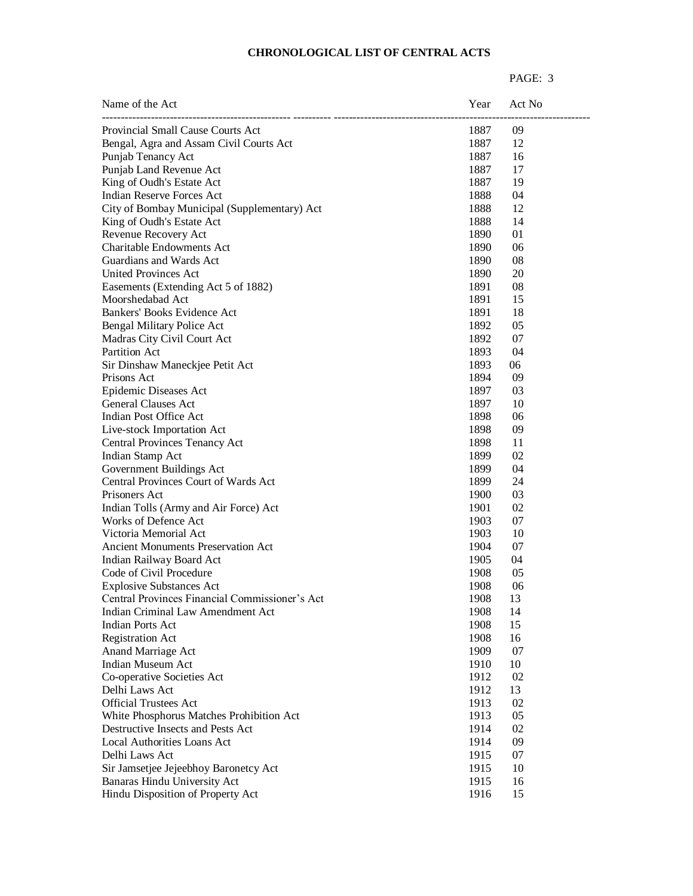| Name of the Act                                | Year | Act No |
|------------------------------------------------|------|--------|
| Provincial Small Cause Courts Act              | 1887 | 09     |
| Bengal, Agra and Assam Civil Courts Act        | 1887 | 12     |
| Punjab Tenancy Act                             | 1887 | 16     |
| Punjab Land Revenue Act                        | 1887 | 17     |
| King of Oudh's Estate Act                      | 1887 | 19     |
| Indian Reserve Forces Act                      | 1888 | 04     |
| City of Bombay Municipal (Supplementary) Act   | 1888 | 12     |
| King of Oudh's Estate Act                      | 1888 | 14     |
| Revenue Recovery Act                           | 1890 | 01     |
| <b>Charitable Endowments Act</b>               | 1890 | 06     |
| Guardians and Wards Act                        | 1890 | 08     |
| <b>United Provinces Act</b>                    | 1890 | 20     |
| Easements (Extending Act 5 of 1882)            | 1891 | 08     |
| Moorshedabad Act                               | 1891 | 15     |
| Bankers' Books Evidence Act                    | 1891 | 18     |
| Bengal Military Police Act                     | 1892 | 05     |
| Madras City Civil Court Act                    | 1892 | 07     |
| <b>Partition Act</b>                           | 1893 | 04     |
| Sir Dinshaw Maneckjee Petit Act                | 1893 | 06     |
| Prisons Act                                    | 1894 | 09     |
| Epidemic Diseases Act                          | 1897 | 03     |
| <b>General Clauses Act</b>                     | 1897 | 10     |
| Indian Post Office Act                         | 1898 | 06     |
| Live-stock Importation Act                     | 1898 | 09     |
| Central Provinces Tenancy Act                  | 1898 | 11     |
| Indian Stamp Act                               | 1899 | 02     |
| Government Buildings Act                       | 1899 | 04     |
| Central Provinces Court of Wards Act           | 1899 | 24     |
| Prisoners Act                                  | 1900 | 03     |
| Indian Tolls (Army and Air Force) Act          | 1901 | 02     |
| <b>Works of Defence Act</b>                    | 1903 | 07     |
| Victoria Memorial Act                          | 1903 | 10     |
| <b>Ancient Monuments Preservation Act</b>      | 1904 | 07     |
| Indian Railway Board Act                       | 1905 | 04     |
| Code of Civil Procedure                        | 1908 | 05     |
| <b>Explosive Substances Act</b>                | 1908 | 06     |
| Central Provinces Financial Commissioner's Act | 1908 | 13     |
| Indian Criminal Law Amendment Act              | 1908 | 14     |
| <b>Indian Ports Act</b>                        | 1908 | 15     |
| <b>Registration Act</b>                        | 1908 | 16     |
| Anand Marriage Act                             | 1909 | 07     |
| Indian Museum Act                              | 1910 | 10     |
| Co-operative Societies Act                     | 1912 | 02     |
| Delhi Laws Act                                 | 1912 | 13     |
| <b>Official Trustees Act</b>                   | 1913 | 02     |
| White Phosphorus Matches Prohibition Act       | 1913 | 05     |
| Destructive Insects and Pests Act              | 1914 | 02     |
| <b>Local Authorities Loans Act</b>             | 1914 | 09     |
| Delhi Laws Act                                 | 1915 | 07     |
| Sir Jamsetjee Jejeebhoy Baronetcy Act          | 1915 | 10     |
| Banaras Hindu University Act                   | 1915 | 16     |
| Hindu Disposition of Property Act              | 1916 | 15     |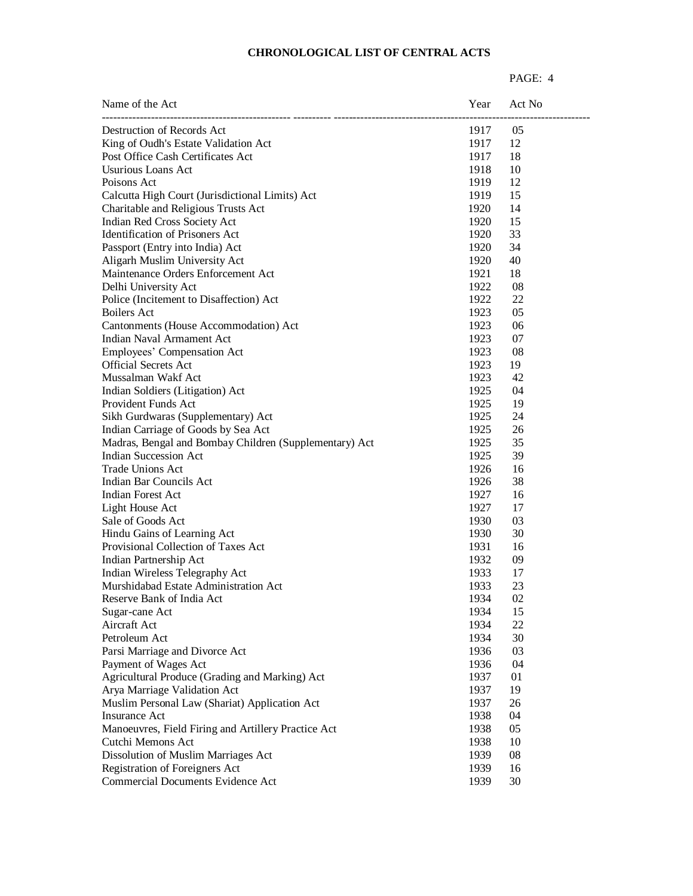| Name of the Act                                        | Year | Act No     |
|--------------------------------------------------------|------|------------|
| Destruction of Records Act                             | 1917 | 05         |
| King of Oudh's Estate Validation Act                   | 1917 | 12         |
| Post Office Cash Certificates Act                      | 1917 | 18         |
| <b>Usurious Loans Act</b>                              | 1918 | 10         |
| Poisons Act                                            | 1919 | 12         |
| Calcutta High Court (Jurisdictional Limits) Act        | 1919 | 15         |
| Charitable and Religious Trusts Act                    | 1920 | 14         |
| Indian Red Cross Society Act                           | 1920 | 15         |
| Identification of Prisoners Act                        | 1920 | 33         |
| Passport (Entry into India) Act                        | 1920 | 34         |
| Aligarh Muslim University Act                          | 1920 | 40         |
| Maintenance Orders Enforcement Act                     | 1921 | 18         |
| Delhi University Act                                   | 1922 | 08         |
| Police (Incitement to Disaffection) Act                | 1922 | 22         |
| Boilers Act                                            | 1923 | 05         |
| Cantonments (House Accommodation) Act                  | 1923 | 06         |
| <b>Indian Naval Armament Act</b>                       | 1923 | 07         |
| Employees' Compensation Act                            | 1923 | 08         |
| <b>Official Secrets Act</b>                            | 1923 | 19         |
| Mussalman Wakf Act                                     | 1923 | 42         |
| Indian Soldiers (Litigation) Act                       | 1925 | 04         |
| Provident Funds Act                                    | 1925 | 19         |
| Sikh Gurdwaras (Supplementary) Act                     | 1925 | 24         |
| Indian Carriage of Goods by Sea Act                    | 1925 | 26         |
| Madras, Bengal and Bombay Children (Supplementary) Act | 1925 | 35         |
| <b>Indian Succession Act</b>                           | 1925 | 39         |
| <b>Trade Unions Act</b>                                |      | 16         |
| Indian Bar Councils Act                                | 1926 | 38         |
|                                                        | 1926 |            |
| Indian Forest Act                                      | 1927 | 16         |
| Light House Act                                        | 1927 | 17         |
| Sale of Goods Act                                      | 1930 | 03         |
| Hindu Gains of Learning Act                            | 1930 | 30         |
| Provisional Collection of Taxes Act                    | 1931 | 16         |
| Indian Partnership Act                                 | 1932 | 09         |
| Indian Wireless Telegraphy Act                         | 1933 | 17         |
| Murshidabad Estate Administration Act                  | 1933 | 23         |
| Reserve Bank of India Act                              | 1934 | 02         |
| Sugar-cane Act                                         | 1934 | 15         |
| Aircraft Act                                           | 1934 | 22         |
| Petroleum Act                                          | 1934 | 30         |
| Parsi Marriage and Divorce Act                         | 1936 | 03         |
| Payment of Wages Act                                   | 1936 | 04         |
| Agricultural Produce (Grading and Marking) Act         | 1937 | 01         |
| Arya Marriage Validation Act                           | 1937 | 19         |
| Muslim Personal Law (Shariat) Application Act          | 1937 | 26         |
| <b>Insurance Act</b>                                   | 1938 | 04         |
| Manoeuvres, Field Firing and Artillery Practice Act    | 1938 | 05         |
| Cutchi Memons Act                                      | 1938 | 10         |
| Dissolution of Muslim Marriages Act                    | 1939 | ${\bf 08}$ |
| Registration of Foreigners Act                         | 1939 | 16         |
| Commercial Documents Evidence Act                      | 1939 | 30         |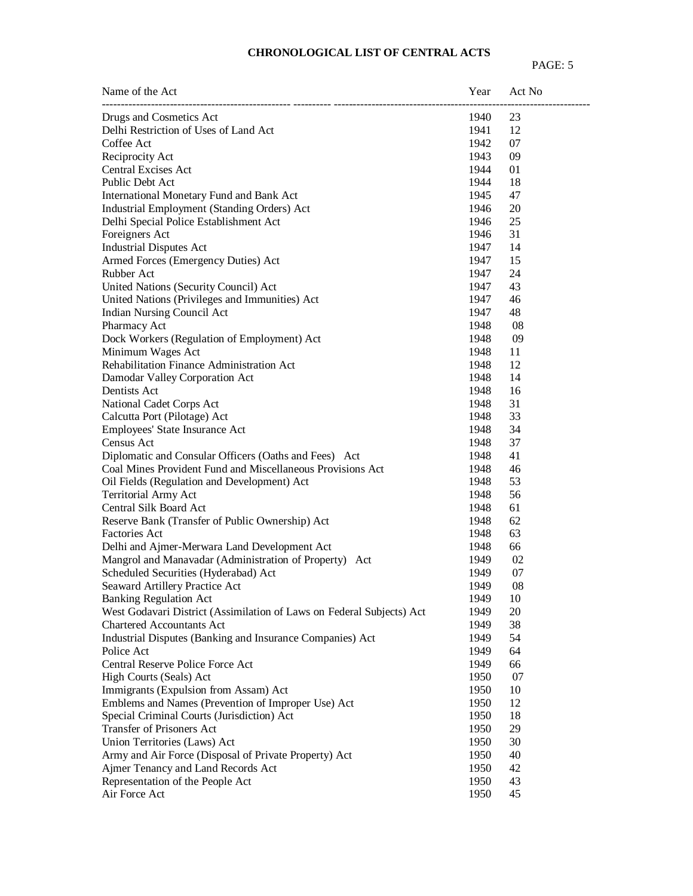| Name of the Act                                                       | Year | Act No |  |
|-----------------------------------------------------------------------|------|--------|--|
| Drugs and Cosmetics Act                                               | 1940 | 23     |  |
| Delhi Restriction of Uses of Land Act                                 | 1941 | 12     |  |
| Coffee Act                                                            | 1942 | 07     |  |
| Reciprocity Act                                                       | 1943 | 09     |  |
| <b>Central Excises Act</b>                                            | 1944 | 01     |  |
| Public Debt Act                                                       | 1944 | 18     |  |
| International Monetary Fund and Bank Act                              | 1945 | 47     |  |
| Industrial Employment (Standing Orders) Act                           | 1946 | 20     |  |
| Delhi Special Police Establishment Act                                | 1946 | 25     |  |
| Foreigners Act                                                        | 1946 | 31     |  |
| <b>Industrial Disputes Act</b>                                        | 1947 | 14     |  |
| Armed Forces (Emergency Duties) Act                                   | 1947 | 15     |  |
| Rubber Act                                                            | 1947 | 24     |  |
| United Nations (Security Council) Act                                 | 1947 | 43     |  |
| United Nations (Privileges and Immunities) Act                        | 1947 | 46     |  |
| Indian Nursing Council Act                                            | 1947 | 48     |  |
| Pharmacy Act                                                          | 1948 | 08     |  |
| Dock Workers (Regulation of Employment) Act                           | 1948 | 09     |  |
| Minimum Wages Act                                                     | 1948 | 11     |  |
| Rehabilitation Finance Administration Act                             | 1948 | 12     |  |
| Damodar Valley Corporation Act                                        | 1948 | 14     |  |
| Dentists Act                                                          | 1948 | 16     |  |
| National Cadet Corps Act                                              | 1948 | 31     |  |
| Calcutta Port (Pilotage) Act                                          | 1948 | 33     |  |
| Employees' State Insurance Act                                        | 1948 | 34     |  |
| Census Act                                                            | 1948 | 37     |  |
| Diplomatic and Consular Officers (Oaths and Fees) Act                 | 1948 | 41     |  |
| Coal Mines Provident Fund and Miscellaneous Provisions Act            | 1948 | 46     |  |
| Oil Fields (Regulation and Development) Act                           | 1948 | 53     |  |
| <b>Territorial Army Act</b>                                           | 1948 | 56     |  |
| Central Silk Board Act                                                | 1948 | 61     |  |
| Reserve Bank (Transfer of Public Ownership) Act                       | 1948 | 62     |  |
| Factories Act                                                         | 1948 | 63     |  |
| Delhi and Ajmer-Merwara Land Development Act                          | 1948 | 66     |  |
| Mangrol and Manavadar (Administration of Property) Act                | 1949 | 02     |  |
| Scheduled Securities (Hyderabad) Act                                  | 1949 | 07     |  |
| Seaward Artillery Practice Act                                        | 1949 | 08     |  |
| <b>Banking Regulation Act</b>                                         | 1949 | 10     |  |
| West Godavari District (Assimilation of Laws on Federal Subjects) Act | 1949 | 20     |  |
| <b>Chartered Accountants Act</b>                                      | 1949 | 38     |  |
| Industrial Disputes (Banking and Insurance Companies) Act             | 1949 | 54     |  |
| Police Act                                                            | 1949 | 64     |  |
| Central Reserve Police Force Act                                      | 1949 | 66     |  |
| High Courts (Seals) Act                                               | 1950 | 07     |  |
| Immigrants (Expulsion from Assam) Act                                 | 1950 | 10     |  |
| Emblems and Names (Prevention of Improper Use) Act                    | 1950 | 12     |  |
| Special Criminal Courts (Jurisdiction) Act                            | 1950 | 18     |  |
| Transfer of Prisoners Act                                             | 1950 | 29     |  |
| Union Territories (Laws) Act                                          | 1950 | 30     |  |
| Army and Air Force (Disposal of Private Property) Act                 | 1950 | 40     |  |
| Ajmer Tenancy and Land Records Act                                    | 1950 | 42     |  |
| Representation of the People Act                                      | 1950 | 43     |  |
| Air Force Act                                                         | 1950 | 45     |  |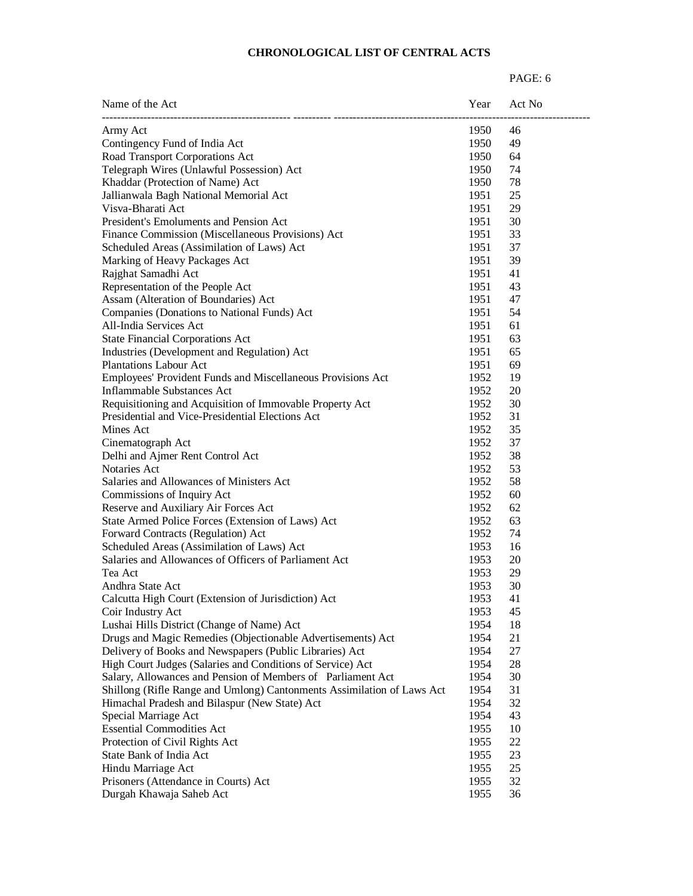| Name of the Act                                                        | Year | Act No |
|------------------------------------------------------------------------|------|--------|
| Army Act                                                               | 1950 | 46     |
| Contingency Fund of India Act                                          | 1950 | 49     |
| Road Transport Corporations Act                                        | 1950 | 64     |
| Telegraph Wires (Unlawful Possession) Act                              | 1950 | 74     |
| Khaddar (Protection of Name) Act                                       | 1950 | 78     |
| Jallianwala Bagh National Memorial Act                                 | 1951 | 25     |
| Visva-Bharati Act                                                      | 1951 | 29     |
| President's Emoluments and Pension Act                                 | 1951 | 30     |
| Finance Commission (Miscellaneous Provisions) Act                      | 1951 | 33     |
| Scheduled Areas (Assimilation of Laws) Act                             | 1951 | 37     |
| Marking of Heavy Packages Act                                          | 1951 | 39     |
| Rajghat Samadhi Act                                                    | 1951 | 41     |
| Representation of the People Act                                       | 1951 | 43     |
| Assam (Alteration of Boundaries) Act                                   | 1951 | 47     |
| Companies (Donations to National Funds) Act                            | 1951 | 54     |
| All-India Services Act                                                 | 1951 | 61     |
| <b>State Financial Corporations Act</b>                                | 1951 | 63     |
| Industries (Development and Regulation) Act                            | 1951 | 65     |
| <b>Plantations Labour Act</b>                                          | 1951 | 69     |
| Employees' Provident Funds and Miscellaneous Provisions Act            | 1952 | 19     |
| <b>Inflammable Substances Act</b>                                      | 1952 | 20     |
| Requisitioning and Acquisition of Immovable Property Act               | 1952 | 30     |
| Presidential and Vice-Presidential Elections Act                       | 1952 | 31     |
| Mines Act                                                              | 1952 | 35     |
| Cinematograph Act                                                      | 1952 | 37     |
| Delhi and Ajmer Rent Control Act                                       | 1952 | 38     |
| Notaries Act                                                           | 1952 | 53     |
| Salaries and Allowances of Ministers Act                               | 1952 | 58     |
| Commissions of Inquiry Act                                             | 1952 | 60     |
| Reserve and Auxiliary Air Forces Act                                   | 1952 | 62     |
| State Armed Police Forces (Extension of Laws) Act                      | 1952 | 63     |
| Forward Contracts (Regulation) Act                                     | 1952 | 74     |
| Scheduled Areas (Assimilation of Laws) Act                             | 1953 | 16     |
| Salaries and Allowances of Officers of Parliament Act                  | 1953 | 20     |
| Tea Act                                                                | 1953 | 29     |
| Andhra State Act                                                       | 1953 | 30     |
| Calcutta High Court (Extension of Jurisdiction) Act                    | 1953 | 41     |
| Coir Industry Act                                                      | 1953 | 45     |
| Lushai Hills District (Change of Name) Act                             | 1954 | 18     |
| Drugs and Magic Remedies (Objectionable Advertisements) Act            | 1954 | 21     |
| Delivery of Books and Newspapers (Public Libraries) Act                | 1954 | 27     |
| High Court Judges (Salaries and Conditions of Service) Act             | 1954 | 28     |
| Salary, Allowances and Pension of Members of Parliament Act            | 1954 | 30     |
| Shillong (Rifle Range and Umlong) Cantonments Assimilation of Laws Act | 1954 | 31     |
| Himachal Pradesh and Bilaspur (New State) Act                          | 1954 | 32     |
| Special Marriage Act                                                   | 1954 | 43     |
| <b>Essential Commodities Act</b>                                       | 1955 | 10     |
| Protection of Civil Rights Act                                         | 1955 | 22     |
| State Bank of India Act                                                | 1955 | 23     |
| Hindu Marriage Act                                                     | 1955 | 25     |
| Prisoners (Attendance in Courts) Act                                   | 1955 | 32     |
| Durgah Khawaja Saheb Act                                               | 1955 | 36     |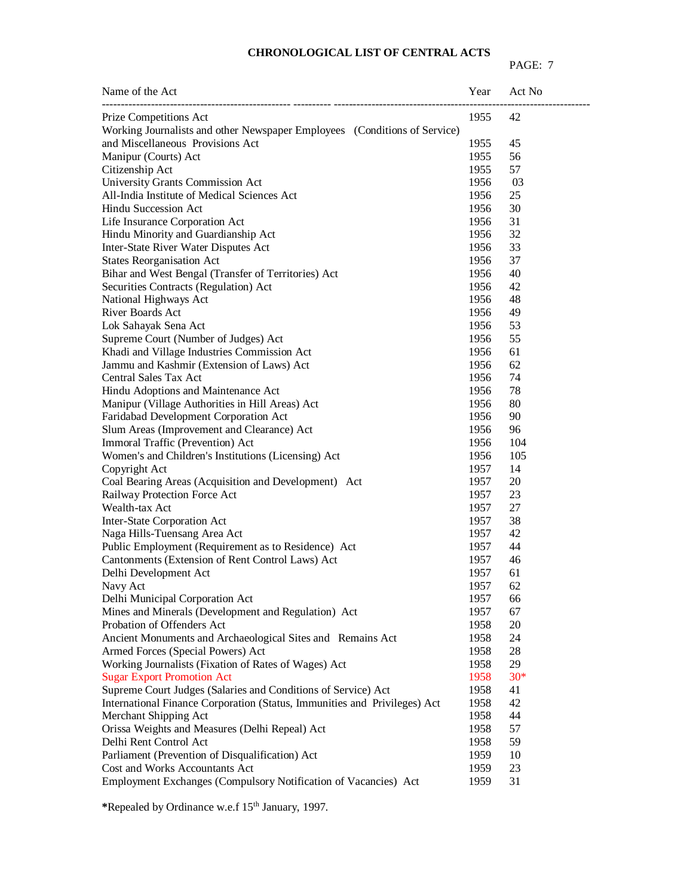# PAGE: 7

| Name of the Act                                                           | Year | Act No |
|---------------------------------------------------------------------------|------|--------|
| Prize Competitions Act                                                    | 1955 | 42     |
| Working Journalists and other Newspaper Employees (Conditions of Service) |      |        |
| and Miscellaneous Provisions Act                                          | 1955 | 45     |
| Manipur (Courts) Act                                                      | 1955 | 56     |
| Citizenship Act                                                           | 1955 | 57     |
| University Grants Commission Act                                          | 1956 | 03     |
| All-India Institute of Medical Sciences Act                               | 1956 | 25     |
| <b>Hindu Succession Act</b>                                               | 1956 | 30     |
| Life Insurance Corporation Act                                            | 1956 | 31     |
| Hindu Minority and Guardianship Act                                       | 1956 | 32     |
| Inter-State River Water Disputes Act                                      | 1956 | 33     |
| <b>States Reorganisation Act</b>                                          | 1956 | 37     |
| Bihar and West Bengal (Transfer of Territories) Act                       | 1956 | 40     |
| Securities Contracts (Regulation) Act                                     | 1956 | 42     |
| National Highways Act                                                     | 1956 | 48     |
| <b>River Boards Act</b>                                                   | 1956 | 49     |
| Lok Sahayak Sena Act                                                      | 1956 | 53     |
| Supreme Court (Number of Judges) Act                                      | 1956 | 55     |
| Khadi and Village Industries Commission Act                               | 1956 | 61     |
| Jammu and Kashmir (Extension of Laws) Act                                 | 1956 | 62     |
| <b>Central Sales Tax Act</b>                                              | 1956 | 74     |
| Hindu Adoptions and Maintenance Act                                       | 1956 | 78     |
| Manipur (Village Authorities in Hill Areas) Act                           | 1956 | 80     |
| Faridabad Development Corporation Act                                     | 1956 | 90     |
| Slum Areas (Improvement and Clearance) Act                                | 1956 | 96     |
| Immoral Traffic (Prevention) Act                                          | 1956 | 104    |
| Women's and Children's Institutions (Licensing) Act                       | 1956 | 105    |
| Copyright Act                                                             | 1957 | 14     |
| Coal Bearing Areas (Acquisition and Development) Act                      | 1957 | 20     |
| Railway Protection Force Act                                              | 1957 | 23     |
| Wealth-tax Act                                                            | 1957 | 27     |
| Inter-State Corporation Act                                               | 1957 | 38     |
| Naga Hills-Tuensang Area Act                                              | 1957 | 42     |
| Public Employment (Requirement as to Residence) Act                       | 1957 | 44     |
| Cantonments (Extension of Rent Control Laws) Act                          | 1957 | 46     |
| Delhi Development Act                                                     | 1957 | 61     |
| Navy Act                                                                  | 1957 | 62     |
| Delhi Municipal Corporation Act                                           | 1957 | 66     |
| Mines and Minerals (Development and Regulation) Act                       | 1957 | 67     |
| Probation of Offenders Act                                                | 1958 | 20     |
| Ancient Monuments and Archaeological Sites and Remains Act                | 1958 | 24     |
| Armed Forces (Special Powers) Act                                         | 1958 | 28     |
| Working Journalists (Fixation of Rates of Wages) Act                      | 1958 | 29     |
| <b>Sugar Export Promotion Act</b>                                         | 1958 | $30*$  |
| Supreme Court Judges (Salaries and Conditions of Service) Act             | 1958 | 41     |
| International Finance Corporation (Status, Immunities and Privileges) Act | 1958 | 42     |
| Merchant Shipping Act                                                     | 1958 | 44     |
| Orissa Weights and Measures (Delhi Repeal) Act                            | 1958 | 57     |
| Delhi Rent Control Act                                                    | 1958 | 59     |
| Parliament (Prevention of Disqualification) Act                           | 1959 | 10     |
| Cost and Works Accountants Act                                            | 1959 | 23     |
| Employment Exchanges (Compulsory Notification of Vacancies) Act           | 1959 | 31     |
|                                                                           |      |        |

**\***Repealed by Ordinance w.e.f 15th January, 1997.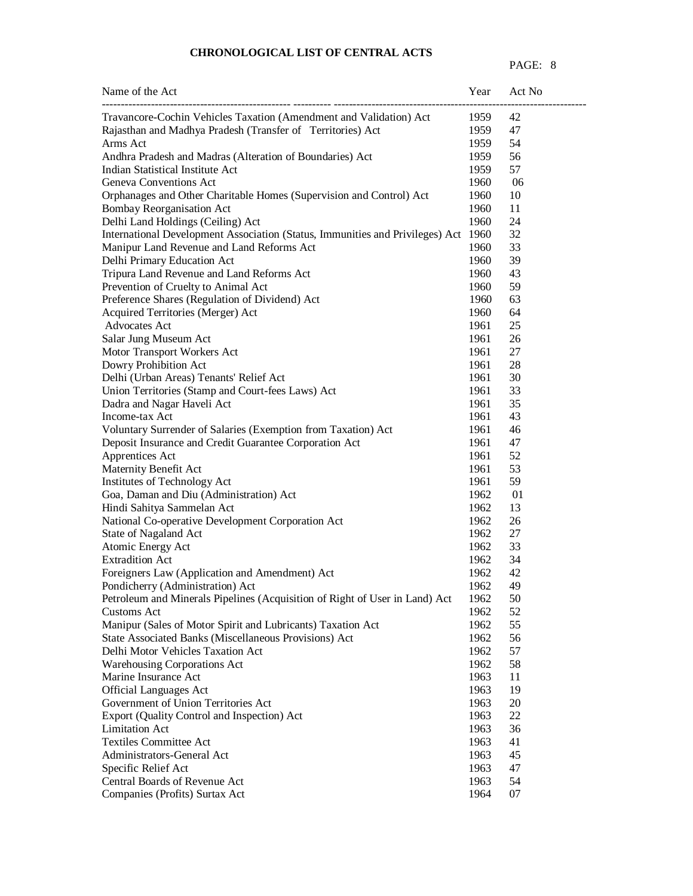| Name of the Act                                                               | Year | Act No |
|-------------------------------------------------------------------------------|------|--------|
| Travancore-Cochin Vehicles Taxation (Amendment and Validation) Act            | 1959 | 42     |
| Rajasthan and Madhya Pradesh (Transfer of Territories) Act                    | 1959 | 47     |
| Arms Act                                                                      | 1959 | 54     |
| Andhra Pradesh and Madras (Alteration of Boundaries) Act                      | 1959 | 56     |
| Indian Statistical Institute Act                                              | 1959 | 57     |
| <b>Geneva Conventions Act</b>                                                 | 1960 | 06     |
| Orphanages and Other Charitable Homes (Supervision and Control) Act           | 1960 | 10     |
| <b>Bombay Reorganisation Act</b>                                              | 1960 | 11     |
| Delhi Land Holdings (Ceiling) Act                                             | 1960 | 24     |
| International Development Association (Status, Immunities and Privileges) Act | 1960 | 32     |
| Manipur Land Revenue and Land Reforms Act                                     | 1960 | 33     |
| Delhi Primary Education Act                                                   | 1960 | 39     |
| Tripura Land Revenue and Land Reforms Act                                     | 1960 | 43     |
| Prevention of Cruelty to Animal Act                                           | 1960 | 59     |
| Preference Shares (Regulation of Dividend) Act                                | 1960 | 63     |
| Acquired Territories (Merger) Act                                             | 1960 | 64     |
| <b>Advocates Act</b>                                                          | 1961 | 25     |
| Salar Jung Museum Act                                                         | 1961 | 26     |
| Motor Transport Workers Act                                                   | 1961 | 27     |
| Dowry Prohibition Act                                                         | 1961 | 28     |
| Delhi (Urban Areas) Tenants' Relief Act                                       | 1961 | 30     |
| Union Territories (Stamp and Court-fees Laws) Act                             | 1961 | 33     |
| Dadra and Nagar Haveli Act                                                    | 1961 | 35     |
| Income-tax Act                                                                | 1961 | 43     |
| Voluntary Surrender of Salaries (Exemption from Taxation) Act                 | 1961 | 46     |
| Deposit Insurance and Credit Guarantee Corporation Act                        | 1961 | 47     |
| Apprentices Act                                                               | 1961 | 52     |
| Maternity Benefit Act                                                         | 1961 | 53     |
| Institutes of Technology Act                                                  | 1961 | 59     |
| Goa, Daman and Diu (Administration) Act                                       | 1962 | 01     |
| Hindi Sahitya Sammelan Act                                                    | 1962 | 13     |
| National Co-operative Development Corporation Act                             | 1962 | 26     |
| State of Nagaland Act                                                         | 1962 | 27     |
| Atomic Energy Act                                                             | 1962 | 33     |
| <b>Extradition Act</b>                                                        | 1962 | 34     |
| Foreigners Law (Application and Amendment) Act                                | 1962 | 42     |
| Pondicherry (Administration) Act                                              | 1962 | 49     |
| Petroleum and Minerals Pipelines (Acquisition of Right of User in Land) Act   | 1962 | 50     |
| <b>Customs Act</b>                                                            | 1962 | 52     |
| Manipur (Sales of Motor Spirit and Lubricants) Taxation Act                   | 1962 | 55     |
| State Associated Banks (Miscellaneous Provisions) Act                         | 1962 | 56     |
| Delhi Motor Vehicles Taxation Act                                             | 1962 | 57     |
| <b>Warehousing Corporations Act</b>                                           | 1962 | 58     |
| Marine Insurance Act                                                          | 1963 | 11     |
| <b>Official Languages Act</b>                                                 | 1963 | 19     |
| Government of Union Territories Act                                           | 1963 | 20     |
| Export (Quality Control and Inspection) Act                                   | 1963 | 22     |
| <b>Limitation Act</b>                                                         | 1963 | 36     |
| Textiles Committee Act                                                        | 1963 | 41     |
| Administrators-General Act                                                    | 1963 | 45     |
| Specific Relief Act                                                           | 1963 | 47     |
| Central Boards of Revenue Act                                                 | 1963 | 54     |
| Companies (Profits) Surtax Act                                                | 1964 | 07     |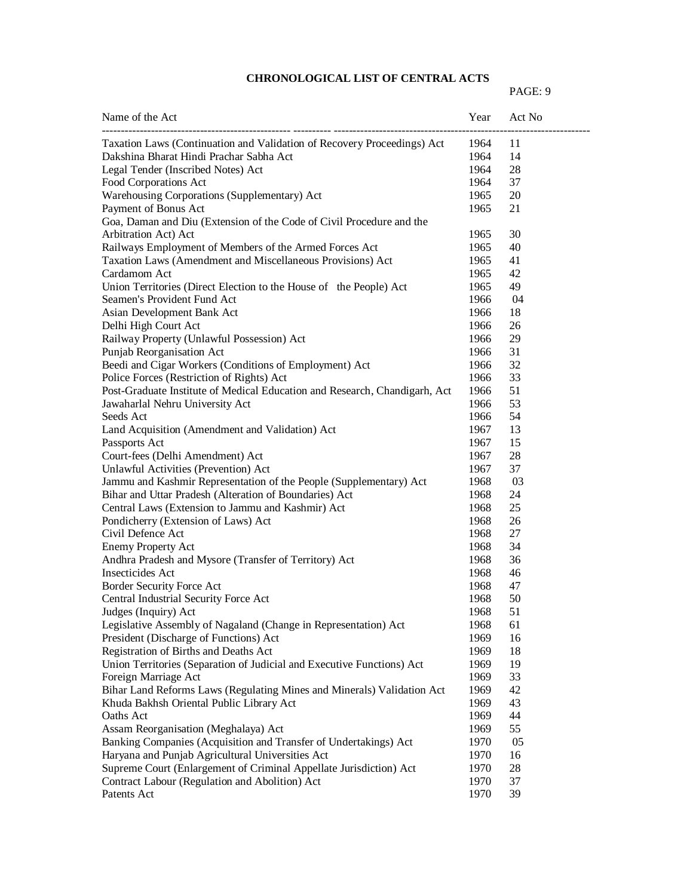| Name of the Act                                                            | Year | Act No |
|----------------------------------------------------------------------------|------|--------|
| Taxation Laws (Continuation and Validation of Recovery Proceedings) Act    | 1964 | 11     |
| Dakshina Bharat Hindi Prachar Sabha Act                                    | 1964 | 14     |
| Legal Tender (Inscribed Notes) Act                                         | 1964 | 28     |
| Food Corporations Act                                                      | 1964 | 37     |
| Warehousing Corporations (Supplementary) Act                               | 1965 | 20     |
| Payment of Bonus Act                                                       | 1965 | 21     |
| Goa, Daman and Diu (Extension of the Code of Civil Procedure and the       |      |        |
| Arbitration Act) Act                                                       | 1965 | 30     |
| Railways Employment of Members of the Armed Forces Act                     | 1965 | 40     |
| Taxation Laws (Amendment and Miscellaneous Provisions) Act                 | 1965 | 41     |
| Cardamom Act                                                               | 1965 | 42     |
| Union Territories (Direct Election to the House of the People) Act         | 1965 | 49     |
| Seamen's Provident Fund Act                                                | 1966 | 04     |
| Asian Development Bank Act                                                 | 1966 | 18     |
| Delhi High Court Act                                                       | 1966 | 26     |
| Railway Property (Unlawful Possession) Act                                 | 1966 | 29     |
| Punjab Reorganisation Act                                                  | 1966 | 31     |
| Beedi and Cigar Workers (Conditions of Employment) Act                     | 1966 | 32     |
| Police Forces (Restriction of Rights) Act                                  | 1966 | 33     |
| Post-Graduate Institute of Medical Education and Research, Chandigarh, Act | 1966 | 51     |
| Jawaharlal Nehru University Act                                            | 1966 | 53     |
| Seeds Act                                                                  | 1966 | 54     |
| Land Acquisition (Amendment and Validation) Act                            | 1967 | 13     |
| Passports Act                                                              | 1967 | 15     |
| Court-fees (Delhi Amendment) Act                                           | 1967 | 28     |
| Unlawful Activities (Prevention) Act                                       | 1967 | 37     |
| Jammu and Kashmir Representation of the People (Supplementary) Act         | 1968 | 03     |
| Bihar and Uttar Pradesh (Alteration of Boundaries) Act                     | 1968 | 24     |
| Central Laws (Extension to Jammu and Kashmir) Act                          | 1968 | 25     |
| Pondicherry (Extension of Laws) Act                                        | 1968 | 26     |
| Civil Defence Act                                                          | 1968 | 27     |
| <b>Enemy Property Act</b>                                                  | 1968 | 34     |
| Andhra Pradesh and Mysore (Transfer of Territory) Act                      | 1968 | 36     |
| <b>Insecticides Act</b>                                                    | 1968 | 46     |
| Border Security Force Act                                                  | 1968 | 47     |
| Central Industrial Security Force Act                                      | 1968 | 50     |
| Judges (Inquiry) Act                                                       | 1968 | 51     |
| Legislative Assembly of Nagaland (Change in Representation) Act            | 1968 | 61     |
| President (Discharge of Functions) Act                                     | 1969 | 16     |
| Registration of Births and Deaths Act                                      | 1969 | 18     |
| Union Territories (Separation of Judicial and Executive Functions) Act     | 1969 | 19     |
| Foreign Marriage Act                                                       | 1969 | 33     |
| Bihar Land Reforms Laws (Regulating Mines and Minerals) Validation Act     | 1969 | 42     |
| Khuda Bakhsh Oriental Public Library Act                                   | 1969 | 43     |
| Oaths Act                                                                  | 1969 | 44     |
| Assam Reorganisation (Meghalaya) Act                                       | 1969 | 55     |
|                                                                            |      |        |
| Banking Companies (Acquisition and Transfer of Undertakings) Act           | 1970 | 05     |
| Haryana and Punjab Agricultural Universities Act                           | 1970 | 16     |
| Supreme Court (Enlargement of Criminal Appellate Jurisdiction) Act         | 1970 | 28     |
| Contract Labour (Regulation and Abolition) Act                             | 1970 | 37     |
| Patents Act                                                                | 1970 | 39     |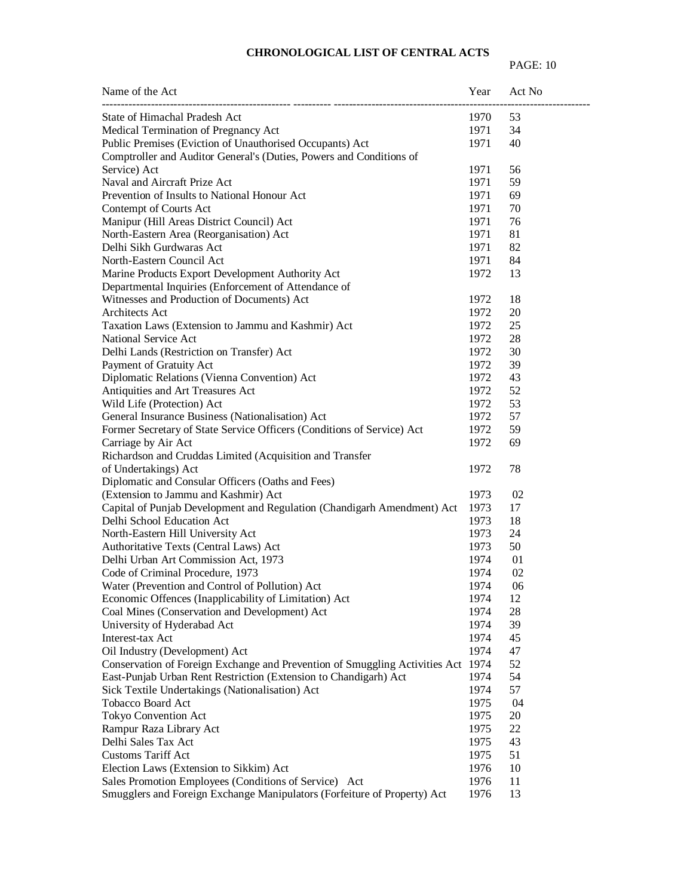| Name of the Act                                                                  | Year | Act No |
|----------------------------------------------------------------------------------|------|--------|
| State of Himachal Pradesh Act                                                    | 1970 | 53     |
| Medical Termination of Pregnancy Act                                             | 1971 | 34     |
| Public Premises (Eviction of Unauthorised Occupants) Act                         | 1971 | 40     |
| Comptroller and Auditor General's (Duties, Powers and Conditions of              |      |        |
| Service) Act                                                                     | 1971 | 56     |
| Naval and Aircraft Prize Act                                                     | 1971 | 59     |
| Prevention of Insults to National Honour Act                                     | 1971 | 69     |
| Contempt of Courts Act                                                           | 1971 | 70     |
| Manipur (Hill Areas District Council) Act                                        | 1971 | 76     |
| North-Eastern Area (Reorganisation) Act                                          | 1971 | 81     |
| Delhi Sikh Gurdwaras Act                                                         | 1971 | 82     |
| North-Eastern Council Act                                                        | 1971 | 84     |
| Marine Products Export Development Authority Act                                 | 1972 | 13     |
| Departmental Inquiries (Enforcement of Attendance of                             |      |        |
| Witnesses and Production of Documents) Act                                       | 1972 | 18     |
| Architects Act                                                                   | 1972 | 20     |
| Taxation Laws (Extension to Jammu and Kashmir) Act                               | 1972 | 25     |
| National Service Act                                                             | 1972 | 28     |
| Delhi Lands (Restriction on Transfer) Act                                        | 1972 | 30     |
| Payment of Gratuity Act                                                          | 1972 | 39     |
| Diplomatic Relations (Vienna Convention) Act                                     | 1972 | 43     |
| Antiquities and Art Treasures Act                                                | 1972 | 52     |
| Wild Life (Protection) Act                                                       | 1972 | 53     |
| General Insurance Business (Nationalisation) Act                                 | 1972 | 57     |
| Former Secretary of State Service Officers (Conditions of Service) Act           | 1972 | 59     |
| Carriage by Air Act                                                              | 1972 | 69     |
| Richardson and Cruddas Limited (Acquisition and Transfer                         |      |        |
| of Undertakings) Act                                                             | 1972 | 78     |
| Diplomatic and Consular Officers (Oaths and Fees)                                |      |        |
| (Extension to Jammu and Kashmir) Act                                             | 1973 | 02     |
| Capital of Punjab Development and Regulation (Chandigarh Amendment) Act          | 1973 | 17     |
| Delhi School Education Act                                                       | 1973 | 18     |
| North-Eastern Hill University Act                                                | 1973 | 24     |
| Authoritative Texts (Central Laws) Act                                           | 1973 | 50     |
| Delhi Urban Art Commission Act, 1973                                             | 1974 | 01     |
| Code of Criminal Procedure, 1973                                                 | 1974 | 02     |
| Water (Prevention and Control of Pollution) Act                                  | 1974 | 06     |
| Economic Offences (Inapplicability of Limitation) Act                            | 1974 | 12     |
| Coal Mines (Conservation and Development) Act                                    | 1974 | 28     |
| University of Hyderabad Act                                                      | 1974 | 39     |
| Interest-tax Act                                                                 | 1974 | 45     |
| Oil Industry (Development) Act                                                   | 1974 | 47     |
| Conservation of Foreign Exchange and Prevention of Smuggling Activities Act 1974 |      | 52     |
| East-Punjab Urban Rent Restriction (Extension to Chandigarh) Act                 | 1974 | 54     |
| Sick Textile Undertakings (Nationalisation) Act                                  | 1974 | 57     |
| Tobacco Board Act                                                                | 1975 | 04     |
| Tokyo Convention Act                                                             | 1975 | 20     |
| Rampur Raza Library Act                                                          | 1975 | 22     |
| Delhi Sales Tax Act                                                              | 1975 | 43     |
| <b>Customs Tariff Act</b>                                                        | 1975 | 51     |
| Election Laws (Extension to Sikkim) Act                                          | 1976 | 10     |
| Sales Promotion Employees (Conditions of Service) Act                            | 1976 | 11     |
| Smugglers and Foreign Exchange Manipulators (Forfeiture of Property) Act         | 1976 | 13     |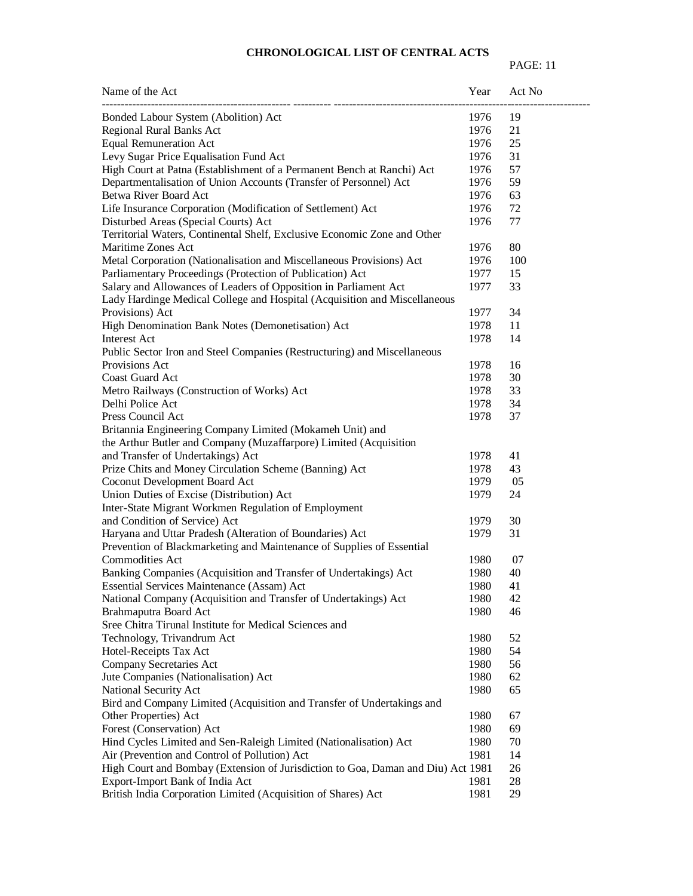| Name of the Act                                                                  | Year | Act No |
|----------------------------------------------------------------------------------|------|--------|
| Bonded Labour System (Abolition) Act                                             | 1976 | 19     |
| Regional Rural Banks Act                                                         | 1976 | 21     |
| <b>Equal Remuneration Act</b>                                                    | 1976 | 25     |
| Levy Sugar Price Equalisation Fund Act                                           | 1976 | 31     |
| High Court at Patna (Establishment of a Permanent Bench at Ranchi) Act           | 1976 | 57     |
| Departmentalisation of Union Accounts (Transfer of Personnel) Act                | 1976 | 59     |
| Betwa River Board Act                                                            | 1976 | 63     |
| Life Insurance Corporation (Modification of Settlement) Act                      | 1976 | 72     |
| Disturbed Areas (Special Courts) Act                                             | 1976 | 77     |
| Territorial Waters, Continental Shelf, Exclusive Economic Zone and Other         |      |        |
| Maritime Zones Act                                                               | 1976 | 80     |
| Metal Corporation (Nationalisation and Miscellaneous Provisions) Act             | 1976 | 100    |
| Parliamentary Proceedings (Protection of Publication) Act                        | 1977 | 15     |
| Salary and Allowances of Leaders of Opposition in Parliament Act                 | 1977 | 33     |
| Lady Hardinge Medical College and Hospital (Acquisition and Miscellaneous        |      |        |
| Provisions) Act                                                                  | 1977 | 34     |
| High Denomination Bank Notes (Demonetisation) Act                                | 1978 | 11     |
| Interest Act                                                                     | 1978 | 14     |
| Public Sector Iron and Steel Companies (Restructuring) and Miscellaneous         |      |        |
| Provisions Act                                                                   | 1978 | 16     |
| Coast Guard Act                                                                  | 1978 | 30     |
| Metro Railways (Construction of Works) Act                                       | 1978 | 33     |
| Delhi Police Act                                                                 | 1978 | 34     |
| Press Council Act                                                                | 1978 | 37     |
| Britannia Engineering Company Limited (Mokameh Unit) and                         |      |        |
| the Arthur Butler and Company (Muzaffarpore) Limited (Acquisition                |      |        |
| and Transfer of Undertakings) Act                                                | 1978 | 41     |
| Prize Chits and Money Circulation Scheme (Banning) Act                           | 1978 | 43     |
| Coconut Development Board Act                                                    | 1979 | 05     |
| Union Duties of Excise (Distribution) Act                                        | 1979 | 24     |
| Inter-State Migrant Workmen Regulation of Employment                             |      |        |
| and Condition of Service) Act                                                    | 1979 | 30     |
| Haryana and Uttar Pradesh (Alteration of Boundaries) Act                         | 1979 | 31     |
| Prevention of Blackmarketing and Maintenance of Supplies of Essential            |      |        |
| <b>Commodities Act</b>                                                           | 1980 | 07     |
| Banking Companies (Acquisition and Transfer of Undertakings) Act                 | 1980 | 40     |
| Essential Services Maintenance (Assam) Act                                       | 1980 | 41     |
| National Company (Acquisition and Transfer of Undertakings) Act                  | 1980 | 42     |
| Brahmaputra Board Act                                                            | 1980 | 46     |
| Sree Chitra Tirunal Institute for Medical Sciences and                           |      |        |
| Technology, Trivandrum Act                                                       | 1980 | 52     |
| Hotel-Receipts Tax Act                                                           | 1980 | 54     |
| Company Secretaries Act                                                          | 1980 | 56     |
| Jute Companies (Nationalisation) Act                                             | 1980 | 62     |
| National Security Act                                                            | 1980 | 65     |
| Bird and Company Limited (Acquisition and Transfer of Undertakings and           |      |        |
| Other Properties) Act                                                            | 1980 | 67     |
| Forest (Conservation) Act                                                        | 1980 | 69     |
| Hind Cycles Limited and Sen-Raleigh Limited (Nationalisation) Act                | 1980 | 70     |
| Air (Prevention and Control of Pollution) Act                                    | 1981 | 14     |
| High Court and Bombay (Extension of Jurisdiction to Goa, Daman and Diu) Act 1981 |      | 26     |
| Export-Import Bank of India Act                                                  | 1981 | 28     |
| British India Corporation Limited (Acquisition of Shares) Act                    | 1981 | 29     |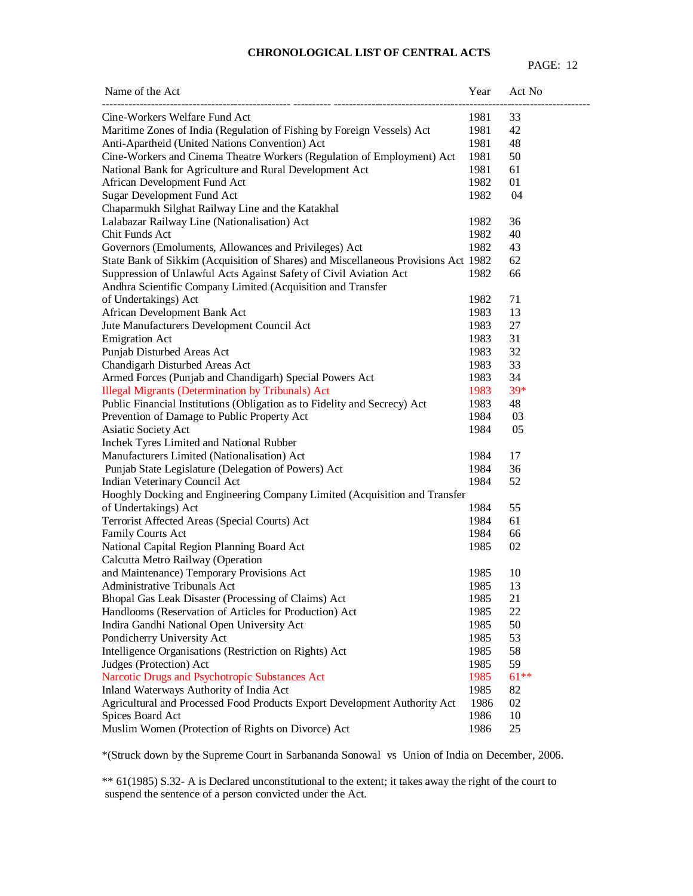| Cine-Workers Welfare Fund Act<br>1981<br>33<br>Maritime Zones of India (Regulation of Fishing by Foreign Vessels) Act<br>1981<br>42<br>Anti-Apartheid (United Nations Convention) Act<br>1981<br>48<br>Cine-Workers and Cinema Theatre Workers (Regulation of Employment) Act<br>1981<br>50<br>National Bank for Agriculture and Rural Development Act<br>1981<br>61<br>1982<br>01<br>African Development Fund Act<br>Sugar Development Fund Act<br>04<br>1982<br>Chaparmukh Silghat Railway Line and the Katakhal<br>Lalabazar Railway Line (Nationalisation) Act<br>1982<br>36<br>Chit Funds Act<br>1982<br>40<br>1982<br>43<br>Governors (Emoluments, Allowances and Privileges) Act<br>State Bank of Sikkim (Acquisition of Shares) and Miscellaneous Provisions Act 1982<br>62<br>Suppression of Unlawful Acts Against Safety of Civil Aviation Act<br>1982<br>66<br>Andhra Scientific Company Limited (Acquisition and Transfer<br>of Undertakings) Act<br>1982<br>71<br>African Development Bank Act<br>1983<br>13<br>Jute Manufacturers Development Council Act<br>1983<br>27<br>1983<br>31<br><b>Emigration Act</b><br>32<br>Punjab Disturbed Areas Act<br>1983<br>Chandigarh Disturbed Areas Act<br>1983<br>33<br>Armed Forces (Punjab and Chandigarh) Special Powers Act<br>34<br>1983<br>39*<br><b>Illegal Migrants (Determination by Tribunals) Act</b><br>1983<br>Public Financial Institutions (Obligation as to Fidelity and Secrecy) Act<br>48<br>1983<br>Prevention of Damage to Public Property Act<br>1984<br>03<br>Asiatic Society Act<br>1984<br>05<br>Inchek Tyres Limited and National Rubber<br>Manufacturers Limited (Nationalisation) Act<br>1984<br>17<br>Punjab State Legislature (Delegation of Powers) Act<br>1984<br>36<br>Indian Veterinary Council Act<br>1984<br>52<br>Hooghly Docking and Engineering Company Limited (Acquisition and Transfer<br>of Undertakings) Act<br>1984<br>55<br>Terrorist Affected Areas (Special Courts) Act<br>61<br>1984<br><b>Family Courts Act</b><br>1984<br>66<br>National Capital Region Planning Board Act<br>1985<br>02<br>Calcutta Metro Railway (Operation<br>and Maintenance) Temporary Provisions Act<br>1985<br>10<br><b>Administrative Tribunals Act</b><br>1985<br>13<br>Bhopal Gas Leak Disaster (Processing of Claims) Act<br>1985<br>21<br>Handlooms (Reservation of Articles for Production) Act<br>1985<br>22<br>Indira Gandhi National Open University Act<br>1985<br>50<br>Pondicherry University Act<br>1985<br>53<br>Intelligence Organisations (Restriction on Rights) Act<br>1985<br>58<br>1985<br>59<br>Judges (Protection) Act<br>1985<br>$61**$<br>Narcotic Drugs and Psychotropic Substances Act<br>1985<br>Inland Waterways Authority of India Act<br>82<br>Agricultural and Processed Food Products Export Development Authority Act<br>1986<br>02<br>1986<br>Spices Board Act<br>10 | Name of the Act | Year | Act No |
|-------------------------------------------------------------------------------------------------------------------------------------------------------------------------------------------------------------------------------------------------------------------------------------------------------------------------------------------------------------------------------------------------------------------------------------------------------------------------------------------------------------------------------------------------------------------------------------------------------------------------------------------------------------------------------------------------------------------------------------------------------------------------------------------------------------------------------------------------------------------------------------------------------------------------------------------------------------------------------------------------------------------------------------------------------------------------------------------------------------------------------------------------------------------------------------------------------------------------------------------------------------------------------------------------------------------------------------------------------------------------------------------------------------------------------------------------------------------------------------------------------------------------------------------------------------------------------------------------------------------------------------------------------------------------------------------------------------------------------------------------------------------------------------------------------------------------------------------------------------------------------------------------------------------------------------------------------------------------------------------------------------------------------------------------------------------------------------------------------------------------------------------------------------------------------------------------------------------------------------------------------------------------------------------------------------------------------------------------------------------------------------------------------------------------------------------------------------------------------------------------------------------------------------------------------------------------------------------------------------------------------------------------------------------------------------------------------------------------------------------------------------------------------------------------------------------------------------------------------------------------------------|-----------------|------|--------|
|                                                                                                                                                                                                                                                                                                                                                                                                                                                                                                                                                                                                                                                                                                                                                                                                                                                                                                                                                                                                                                                                                                                                                                                                                                                                                                                                                                                                                                                                                                                                                                                                                                                                                                                                                                                                                                                                                                                                                                                                                                                                                                                                                                                                                                                                                                                                                                                                                                                                                                                                                                                                                                                                                                                                                                                                                                                                                     |                 |      |        |
|                                                                                                                                                                                                                                                                                                                                                                                                                                                                                                                                                                                                                                                                                                                                                                                                                                                                                                                                                                                                                                                                                                                                                                                                                                                                                                                                                                                                                                                                                                                                                                                                                                                                                                                                                                                                                                                                                                                                                                                                                                                                                                                                                                                                                                                                                                                                                                                                                                                                                                                                                                                                                                                                                                                                                                                                                                                                                     |                 |      |        |
|                                                                                                                                                                                                                                                                                                                                                                                                                                                                                                                                                                                                                                                                                                                                                                                                                                                                                                                                                                                                                                                                                                                                                                                                                                                                                                                                                                                                                                                                                                                                                                                                                                                                                                                                                                                                                                                                                                                                                                                                                                                                                                                                                                                                                                                                                                                                                                                                                                                                                                                                                                                                                                                                                                                                                                                                                                                                                     |                 |      |        |
|                                                                                                                                                                                                                                                                                                                                                                                                                                                                                                                                                                                                                                                                                                                                                                                                                                                                                                                                                                                                                                                                                                                                                                                                                                                                                                                                                                                                                                                                                                                                                                                                                                                                                                                                                                                                                                                                                                                                                                                                                                                                                                                                                                                                                                                                                                                                                                                                                                                                                                                                                                                                                                                                                                                                                                                                                                                                                     |                 |      |        |
|                                                                                                                                                                                                                                                                                                                                                                                                                                                                                                                                                                                                                                                                                                                                                                                                                                                                                                                                                                                                                                                                                                                                                                                                                                                                                                                                                                                                                                                                                                                                                                                                                                                                                                                                                                                                                                                                                                                                                                                                                                                                                                                                                                                                                                                                                                                                                                                                                                                                                                                                                                                                                                                                                                                                                                                                                                                                                     |                 |      |        |
|                                                                                                                                                                                                                                                                                                                                                                                                                                                                                                                                                                                                                                                                                                                                                                                                                                                                                                                                                                                                                                                                                                                                                                                                                                                                                                                                                                                                                                                                                                                                                                                                                                                                                                                                                                                                                                                                                                                                                                                                                                                                                                                                                                                                                                                                                                                                                                                                                                                                                                                                                                                                                                                                                                                                                                                                                                                                                     |                 |      |        |
|                                                                                                                                                                                                                                                                                                                                                                                                                                                                                                                                                                                                                                                                                                                                                                                                                                                                                                                                                                                                                                                                                                                                                                                                                                                                                                                                                                                                                                                                                                                                                                                                                                                                                                                                                                                                                                                                                                                                                                                                                                                                                                                                                                                                                                                                                                                                                                                                                                                                                                                                                                                                                                                                                                                                                                                                                                                                                     |                 |      |        |
|                                                                                                                                                                                                                                                                                                                                                                                                                                                                                                                                                                                                                                                                                                                                                                                                                                                                                                                                                                                                                                                                                                                                                                                                                                                                                                                                                                                                                                                                                                                                                                                                                                                                                                                                                                                                                                                                                                                                                                                                                                                                                                                                                                                                                                                                                                                                                                                                                                                                                                                                                                                                                                                                                                                                                                                                                                                                                     |                 |      |        |
|                                                                                                                                                                                                                                                                                                                                                                                                                                                                                                                                                                                                                                                                                                                                                                                                                                                                                                                                                                                                                                                                                                                                                                                                                                                                                                                                                                                                                                                                                                                                                                                                                                                                                                                                                                                                                                                                                                                                                                                                                                                                                                                                                                                                                                                                                                                                                                                                                                                                                                                                                                                                                                                                                                                                                                                                                                                                                     |                 |      |        |
|                                                                                                                                                                                                                                                                                                                                                                                                                                                                                                                                                                                                                                                                                                                                                                                                                                                                                                                                                                                                                                                                                                                                                                                                                                                                                                                                                                                                                                                                                                                                                                                                                                                                                                                                                                                                                                                                                                                                                                                                                                                                                                                                                                                                                                                                                                                                                                                                                                                                                                                                                                                                                                                                                                                                                                                                                                                                                     |                 |      |        |
|                                                                                                                                                                                                                                                                                                                                                                                                                                                                                                                                                                                                                                                                                                                                                                                                                                                                                                                                                                                                                                                                                                                                                                                                                                                                                                                                                                                                                                                                                                                                                                                                                                                                                                                                                                                                                                                                                                                                                                                                                                                                                                                                                                                                                                                                                                                                                                                                                                                                                                                                                                                                                                                                                                                                                                                                                                                                                     |                 |      |        |
|                                                                                                                                                                                                                                                                                                                                                                                                                                                                                                                                                                                                                                                                                                                                                                                                                                                                                                                                                                                                                                                                                                                                                                                                                                                                                                                                                                                                                                                                                                                                                                                                                                                                                                                                                                                                                                                                                                                                                                                                                                                                                                                                                                                                                                                                                                                                                                                                                                                                                                                                                                                                                                                                                                                                                                                                                                                                                     |                 |      |        |
|                                                                                                                                                                                                                                                                                                                                                                                                                                                                                                                                                                                                                                                                                                                                                                                                                                                                                                                                                                                                                                                                                                                                                                                                                                                                                                                                                                                                                                                                                                                                                                                                                                                                                                                                                                                                                                                                                                                                                                                                                                                                                                                                                                                                                                                                                                                                                                                                                                                                                                                                                                                                                                                                                                                                                                                                                                                                                     |                 |      |        |
|                                                                                                                                                                                                                                                                                                                                                                                                                                                                                                                                                                                                                                                                                                                                                                                                                                                                                                                                                                                                                                                                                                                                                                                                                                                                                                                                                                                                                                                                                                                                                                                                                                                                                                                                                                                                                                                                                                                                                                                                                                                                                                                                                                                                                                                                                                                                                                                                                                                                                                                                                                                                                                                                                                                                                                                                                                                                                     |                 |      |        |
|                                                                                                                                                                                                                                                                                                                                                                                                                                                                                                                                                                                                                                                                                                                                                                                                                                                                                                                                                                                                                                                                                                                                                                                                                                                                                                                                                                                                                                                                                                                                                                                                                                                                                                                                                                                                                                                                                                                                                                                                                                                                                                                                                                                                                                                                                                                                                                                                                                                                                                                                                                                                                                                                                                                                                                                                                                                                                     |                 |      |        |
|                                                                                                                                                                                                                                                                                                                                                                                                                                                                                                                                                                                                                                                                                                                                                                                                                                                                                                                                                                                                                                                                                                                                                                                                                                                                                                                                                                                                                                                                                                                                                                                                                                                                                                                                                                                                                                                                                                                                                                                                                                                                                                                                                                                                                                                                                                                                                                                                                                                                                                                                                                                                                                                                                                                                                                                                                                                                                     |                 |      |        |
|                                                                                                                                                                                                                                                                                                                                                                                                                                                                                                                                                                                                                                                                                                                                                                                                                                                                                                                                                                                                                                                                                                                                                                                                                                                                                                                                                                                                                                                                                                                                                                                                                                                                                                                                                                                                                                                                                                                                                                                                                                                                                                                                                                                                                                                                                                                                                                                                                                                                                                                                                                                                                                                                                                                                                                                                                                                                                     |                 |      |        |
|                                                                                                                                                                                                                                                                                                                                                                                                                                                                                                                                                                                                                                                                                                                                                                                                                                                                                                                                                                                                                                                                                                                                                                                                                                                                                                                                                                                                                                                                                                                                                                                                                                                                                                                                                                                                                                                                                                                                                                                                                                                                                                                                                                                                                                                                                                                                                                                                                                                                                                                                                                                                                                                                                                                                                                                                                                                                                     |                 |      |        |
|                                                                                                                                                                                                                                                                                                                                                                                                                                                                                                                                                                                                                                                                                                                                                                                                                                                                                                                                                                                                                                                                                                                                                                                                                                                                                                                                                                                                                                                                                                                                                                                                                                                                                                                                                                                                                                                                                                                                                                                                                                                                                                                                                                                                                                                                                                                                                                                                                                                                                                                                                                                                                                                                                                                                                                                                                                                                                     |                 |      |        |
|                                                                                                                                                                                                                                                                                                                                                                                                                                                                                                                                                                                                                                                                                                                                                                                                                                                                                                                                                                                                                                                                                                                                                                                                                                                                                                                                                                                                                                                                                                                                                                                                                                                                                                                                                                                                                                                                                                                                                                                                                                                                                                                                                                                                                                                                                                                                                                                                                                                                                                                                                                                                                                                                                                                                                                                                                                                                                     |                 |      |        |
|                                                                                                                                                                                                                                                                                                                                                                                                                                                                                                                                                                                                                                                                                                                                                                                                                                                                                                                                                                                                                                                                                                                                                                                                                                                                                                                                                                                                                                                                                                                                                                                                                                                                                                                                                                                                                                                                                                                                                                                                                                                                                                                                                                                                                                                                                                                                                                                                                                                                                                                                                                                                                                                                                                                                                                                                                                                                                     |                 |      |        |
|                                                                                                                                                                                                                                                                                                                                                                                                                                                                                                                                                                                                                                                                                                                                                                                                                                                                                                                                                                                                                                                                                                                                                                                                                                                                                                                                                                                                                                                                                                                                                                                                                                                                                                                                                                                                                                                                                                                                                                                                                                                                                                                                                                                                                                                                                                                                                                                                                                                                                                                                                                                                                                                                                                                                                                                                                                                                                     |                 |      |        |
|                                                                                                                                                                                                                                                                                                                                                                                                                                                                                                                                                                                                                                                                                                                                                                                                                                                                                                                                                                                                                                                                                                                                                                                                                                                                                                                                                                                                                                                                                                                                                                                                                                                                                                                                                                                                                                                                                                                                                                                                                                                                                                                                                                                                                                                                                                                                                                                                                                                                                                                                                                                                                                                                                                                                                                                                                                                                                     |                 |      |        |
|                                                                                                                                                                                                                                                                                                                                                                                                                                                                                                                                                                                                                                                                                                                                                                                                                                                                                                                                                                                                                                                                                                                                                                                                                                                                                                                                                                                                                                                                                                                                                                                                                                                                                                                                                                                                                                                                                                                                                                                                                                                                                                                                                                                                                                                                                                                                                                                                                                                                                                                                                                                                                                                                                                                                                                                                                                                                                     |                 |      |        |
|                                                                                                                                                                                                                                                                                                                                                                                                                                                                                                                                                                                                                                                                                                                                                                                                                                                                                                                                                                                                                                                                                                                                                                                                                                                                                                                                                                                                                                                                                                                                                                                                                                                                                                                                                                                                                                                                                                                                                                                                                                                                                                                                                                                                                                                                                                                                                                                                                                                                                                                                                                                                                                                                                                                                                                                                                                                                                     |                 |      |        |
|                                                                                                                                                                                                                                                                                                                                                                                                                                                                                                                                                                                                                                                                                                                                                                                                                                                                                                                                                                                                                                                                                                                                                                                                                                                                                                                                                                                                                                                                                                                                                                                                                                                                                                                                                                                                                                                                                                                                                                                                                                                                                                                                                                                                                                                                                                                                                                                                                                                                                                                                                                                                                                                                                                                                                                                                                                                                                     |                 |      |        |
|                                                                                                                                                                                                                                                                                                                                                                                                                                                                                                                                                                                                                                                                                                                                                                                                                                                                                                                                                                                                                                                                                                                                                                                                                                                                                                                                                                                                                                                                                                                                                                                                                                                                                                                                                                                                                                                                                                                                                                                                                                                                                                                                                                                                                                                                                                                                                                                                                                                                                                                                                                                                                                                                                                                                                                                                                                                                                     |                 |      |        |
|                                                                                                                                                                                                                                                                                                                                                                                                                                                                                                                                                                                                                                                                                                                                                                                                                                                                                                                                                                                                                                                                                                                                                                                                                                                                                                                                                                                                                                                                                                                                                                                                                                                                                                                                                                                                                                                                                                                                                                                                                                                                                                                                                                                                                                                                                                                                                                                                                                                                                                                                                                                                                                                                                                                                                                                                                                                                                     |                 |      |        |
|                                                                                                                                                                                                                                                                                                                                                                                                                                                                                                                                                                                                                                                                                                                                                                                                                                                                                                                                                                                                                                                                                                                                                                                                                                                                                                                                                                                                                                                                                                                                                                                                                                                                                                                                                                                                                                                                                                                                                                                                                                                                                                                                                                                                                                                                                                                                                                                                                                                                                                                                                                                                                                                                                                                                                                                                                                                                                     |                 |      |        |
|                                                                                                                                                                                                                                                                                                                                                                                                                                                                                                                                                                                                                                                                                                                                                                                                                                                                                                                                                                                                                                                                                                                                                                                                                                                                                                                                                                                                                                                                                                                                                                                                                                                                                                                                                                                                                                                                                                                                                                                                                                                                                                                                                                                                                                                                                                                                                                                                                                                                                                                                                                                                                                                                                                                                                                                                                                                                                     |                 |      |        |
|                                                                                                                                                                                                                                                                                                                                                                                                                                                                                                                                                                                                                                                                                                                                                                                                                                                                                                                                                                                                                                                                                                                                                                                                                                                                                                                                                                                                                                                                                                                                                                                                                                                                                                                                                                                                                                                                                                                                                                                                                                                                                                                                                                                                                                                                                                                                                                                                                                                                                                                                                                                                                                                                                                                                                                                                                                                                                     |                 |      |        |
|                                                                                                                                                                                                                                                                                                                                                                                                                                                                                                                                                                                                                                                                                                                                                                                                                                                                                                                                                                                                                                                                                                                                                                                                                                                                                                                                                                                                                                                                                                                                                                                                                                                                                                                                                                                                                                                                                                                                                                                                                                                                                                                                                                                                                                                                                                                                                                                                                                                                                                                                                                                                                                                                                                                                                                                                                                                                                     |                 |      |        |
|                                                                                                                                                                                                                                                                                                                                                                                                                                                                                                                                                                                                                                                                                                                                                                                                                                                                                                                                                                                                                                                                                                                                                                                                                                                                                                                                                                                                                                                                                                                                                                                                                                                                                                                                                                                                                                                                                                                                                                                                                                                                                                                                                                                                                                                                                                                                                                                                                                                                                                                                                                                                                                                                                                                                                                                                                                                                                     |                 |      |        |
|                                                                                                                                                                                                                                                                                                                                                                                                                                                                                                                                                                                                                                                                                                                                                                                                                                                                                                                                                                                                                                                                                                                                                                                                                                                                                                                                                                                                                                                                                                                                                                                                                                                                                                                                                                                                                                                                                                                                                                                                                                                                                                                                                                                                                                                                                                                                                                                                                                                                                                                                                                                                                                                                                                                                                                                                                                                                                     |                 |      |        |
|                                                                                                                                                                                                                                                                                                                                                                                                                                                                                                                                                                                                                                                                                                                                                                                                                                                                                                                                                                                                                                                                                                                                                                                                                                                                                                                                                                                                                                                                                                                                                                                                                                                                                                                                                                                                                                                                                                                                                                                                                                                                                                                                                                                                                                                                                                                                                                                                                                                                                                                                                                                                                                                                                                                                                                                                                                                                                     |                 |      |        |
|                                                                                                                                                                                                                                                                                                                                                                                                                                                                                                                                                                                                                                                                                                                                                                                                                                                                                                                                                                                                                                                                                                                                                                                                                                                                                                                                                                                                                                                                                                                                                                                                                                                                                                                                                                                                                                                                                                                                                                                                                                                                                                                                                                                                                                                                                                                                                                                                                                                                                                                                                                                                                                                                                                                                                                                                                                                                                     |                 |      |        |
|                                                                                                                                                                                                                                                                                                                                                                                                                                                                                                                                                                                                                                                                                                                                                                                                                                                                                                                                                                                                                                                                                                                                                                                                                                                                                                                                                                                                                                                                                                                                                                                                                                                                                                                                                                                                                                                                                                                                                                                                                                                                                                                                                                                                                                                                                                                                                                                                                                                                                                                                                                                                                                                                                                                                                                                                                                                                                     |                 |      |        |
|                                                                                                                                                                                                                                                                                                                                                                                                                                                                                                                                                                                                                                                                                                                                                                                                                                                                                                                                                                                                                                                                                                                                                                                                                                                                                                                                                                                                                                                                                                                                                                                                                                                                                                                                                                                                                                                                                                                                                                                                                                                                                                                                                                                                                                                                                                                                                                                                                                                                                                                                                                                                                                                                                                                                                                                                                                                                                     |                 |      |        |
|                                                                                                                                                                                                                                                                                                                                                                                                                                                                                                                                                                                                                                                                                                                                                                                                                                                                                                                                                                                                                                                                                                                                                                                                                                                                                                                                                                                                                                                                                                                                                                                                                                                                                                                                                                                                                                                                                                                                                                                                                                                                                                                                                                                                                                                                                                                                                                                                                                                                                                                                                                                                                                                                                                                                                                                                                                                                                     |                 |      |        |
|                                                                                                                                                                                                                                                                                                                                                                                                                                                                                                                                                                                                                                                                                                                                                                                                                                                                                                                                                                                                                                                                                                                                                                                                                                                                                                                                                                                                                                                                                                                                                                                                                                                                                                                                                                                                                                                                                                                                                                                                                                                                                                                                                                                                                                                                                                                                                                                                                                                                                                                                                                                                                                                                                                                                                                                                                                                                                     |                 |      |        |
|                                                                                                                                                                                                                                                                                                                                                                                                                                                                                                                                                                                                                                                                                                                                                                                                                                                                                                                                                                                                                                                                                                                                                                                                                                                                                                                                                                                                                                                                                                                                                                                                                                                                                                                                                                                                                                                                                                                                                                                                                                                                                                                                                                                                                                                                                                                                                                                                                                                                                                                                                                                                                                                                                                                                                                                                                                                                                     |                 |      |        |
|                                                                                                                                                                                                                                                                                                                                                                                                                                                                                                                                                                                                                                                                                                                                                                                                                                                                                                                                                                                                                                                                                                                                                                                                                                                                                                                                                                                                                                                                                                                                                                                                                                                                                                                                                                                                                                                                                                                                                                                                                                                                                                                                                                                                                                                                                                                                                                                                                                                                                                                                                                                                                                                                                                                                                                                                                                                                                     |                 |      |        |
|                                                                                                                                                                                                                                                                                                                                                                                                                                                                                                                                                                                                                                                                                                                                                                                                                                                                                                                                                                                                                                                                                                                                                                                                                                                                                                                                                                                                                                                                                                                                                                                                                                                                                                                                                                                                                                                                                                                                                                                                                                                                                                                                                                                                                                                                                                                                                                                                                                                                                                                                                                                                                                                                                                                                                                                                                                                                                     |                 |      |        |
|                                                                                                                                                                                                                                                                                                                                                                                                                                                                                                                                                                                                                                                                                                                                                                                                                                                                                                                                                                                                                                                                                                                                                                                                                                                                                                                                                                                                                                                                                                                                                                                                                                                                                                                                                                                                                                                                                                                                                                                                                                                                                                                                                                                                                                                                                                                                                                                                                                                                                                                                                                                                                                                                                                                                                                                                                                                                                     |                 |      |        |
|                                                                                                                                                                                                                                                                                                                                                                                                                                                                                                                                                                                                                                                                                                                                                                                                                                                                                                                                                                                                                                                                                                                                                                                                                                                                                                                                                                                                                                                                                                                                                                                                                                                                                                                                                                                                                                                                                                                                                                                                                                                                                                                                                                                                                                                                                                                                                                                                                                                                                                                                                                                                                                                                                                                                                                                                                                                                                     |                 |      |        |
|                                                                                                                                                                                                                                                                                                                                                                                                                                                                                                                                                                                                                                                                                                                                                                                                                                                                                                                                                                                                                                                                                                                                                                                                                                                                                                                                                                                                                                                                                                                                                                                                                                                                                                                                                                                                                                                                                                                                                                                                                                                                                                                                                                                                                                                                                                                                                                                                                                                                                                                                                                                                                                                                                                                                                                                                                                                                                     |                 |      |        |
|                                                                                                                                                                                                                                                                                                                                                                                                                                                                                                                                                                                                                                                                                                                                                                                                                                                                                                                                                                                                                                                                                                                                                                                                                                                                                                                                                                                                                                                                                                                                                                                                                                                                                                                                                                                                                                                                                                                                                                                                                                                                                                                                                                                                                                                                                                                                                                                                                                                                                                                                                                                                                                                                                                                                                                                                                                                                                     |                 |      |        |
| Muslim Women (Protection of Rights on Divorce) Act<br>1986<br>25                                                                                                                                                                                                                                                                                                                                                                                                                                                                                                                                                                                                                                                                                                                                                                                                                                                                                                                                                                                                                                                                                                                                                                                                                                                                                                                                                                                                                                                                                                                                                                                                                                                                                                                                                                                                                                                                                                                                                                                                                                                                                                                                                                                                                                                                                                                                                                                                                                                                                                                                                                                                                                                                                                                                                                                                                    |                 |      |        |

\*(Struck down by the Supreme Court in Sarbananda Sonowal vs Union of India on December, 2006.

\*\* 61(1985) S.32- A is Declared unconstitutional to the extent; it takes away the right of the court to suspend the sentence of a person convicted under the Act.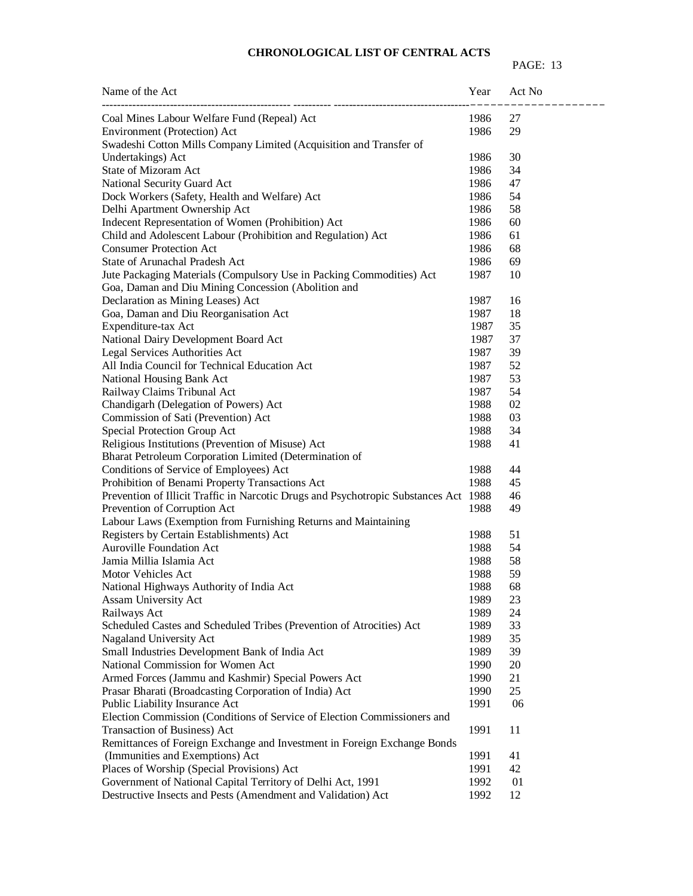| Name of the Act                                                                      | Year | Act No |
|--------------------------------------------------------------------------------------|------|--------|
| Coal Mines Labour Welfare Fund (Repeal) Act                                          | 1986 | 27     |
| Environment (Protection) Act                                                         | 1986 | 29     |
| Swadeshi Cotton Mills Company Limited (Acquisition and Transfer of                   |      |        |
| Undertakings) Act                                                                    | 1986 | 30     |
| <b>State of Mizoram Act</b>                                                          | 1986 | 34     |
| National Security Guard Act                                                          | 1986 | 47     |
| Dock Workers (Safety, Health and Welfare) Act                                        | 1986 | 54     |
| Delhi Apartment Ownership Act                                                        | 1986 | 58     |
| Indecent Representation of Women (Prohibition) Act                                   | 1986 | 60     |
| Child and Adolescent Labour (Prohibition and Regulation) Act                         | 1986 | 61     |
| <b>Consumer Protection Act</b>                                                       | 1986 | 68     |
| State of Arunachal Pradesh Act                                                       | 1986 | 69     |
| Jute Packaging Materials (Compulsory Use in Packing Commodities) Act                 | 1987 | 10     |
| Goa, Daman and Diu Mining Concession (Abolition and                                  |      |        |
| Declaration as Mining Leases) Act                                                    | 1987 | 16     |
| Goa, Daman and Diu Reorganisation Act                                                | 1987 | 18     |
| Expenditure-tax Act                                                                  | 1987 | 35     |
| National Dairy Development Board Act                                                 | 1987 | 37     |
| <b>Legal Services Authorities Act</b>                                                | 1987 | 39     |
| All India Council for Technical Education Act                                        | 1987 | 52     |
| National Housing Bank Act                                                            | 1987 | 53     |
| Railway Claims Tribunal Act                                                          | 1987 | 54     |
| Chandigarh (Delegation of Powers) Act                                                | 1988 | 02     |
| Commission of Sati (Prevention) Act                                                  | 1988 | 03     |
| Special Protection Group Act                                                         | 1988 | 34     |
| Religious Institutions (Prevention of Misuse) Act                                    | 1988 | 41     |
| Bharat Petroleum Corporation Limited (Determination of                               |      |        |
| Conditions of Service of Employees) Act                                              | 1988 | 44     |
| Prohibition of Benami Property Transactions Act                                      | 1988 | 45     |
| Prevention of Illicit Traffic in Narcotic Drugs and Psychotropic Substances Act 1988 |      | 46     |
| Prevention of Corruption Act                                                         | 1988 | 49     |
| Labour Laws (Exemption from Furnishing Returns and Maintaining                       |      |        |
| Registers by Certain Establishments) Act                                             | 1988 | 51     |
| <b>Auroville Foundation Act</b>                                                      | 1988 | 54     |
| Jamia Millia Islamia Act                                                             | 1988 | 58     |
| Motor Vehicles Act                                                                   | 1988 | 59     |
| National Highways Authority of India Act                                             | 1988 | 68     |
| Assam University Act                                                                 | 1989 | 23     |
| Railways Act                                                                         | 1989 | 24     |
| Scheduled Castes and Scheduled Tribes (Prevention of Atrocities) Act                 | 1989 | 33     |
| Nagaland University Act                                                              | 1989 | 35     |
| Small Industries Development Bank of India Act                                       | 1989 | 39     |
| National Commission for Women Act                                                    | 1990 | 20     |
| Armed Forces (Jammu and Kashmir) Special Powers Act                                  | 1990 | 21     |
| Prasar Bharati (Broadcasting Corporation of India) Act                               | 1990 | 25     |
| Public Liability Insurance Act                                                       | 1991 | 06     |
| Election Commission (Conditions of Service of Election Commissioners and             |      |        |
| Transaction of Business) Act                                                         | 1991 | 11     |
| Remittances of Foreign Exchange and Investment in Foreign Exchange Bonds             |      |        |
| (Immunities and Exemptions) Act                                                      | 1991 | 41     |
| Places of Worship (Special Provisions) Act                                           | 1991 | 42     |
| Government of National Capital Territory of Delhi Act, 1991                          | 1992 | 01     |
| Destructive Insects and Pests (Amendment and Validation) Act                         | 1992 | 12     |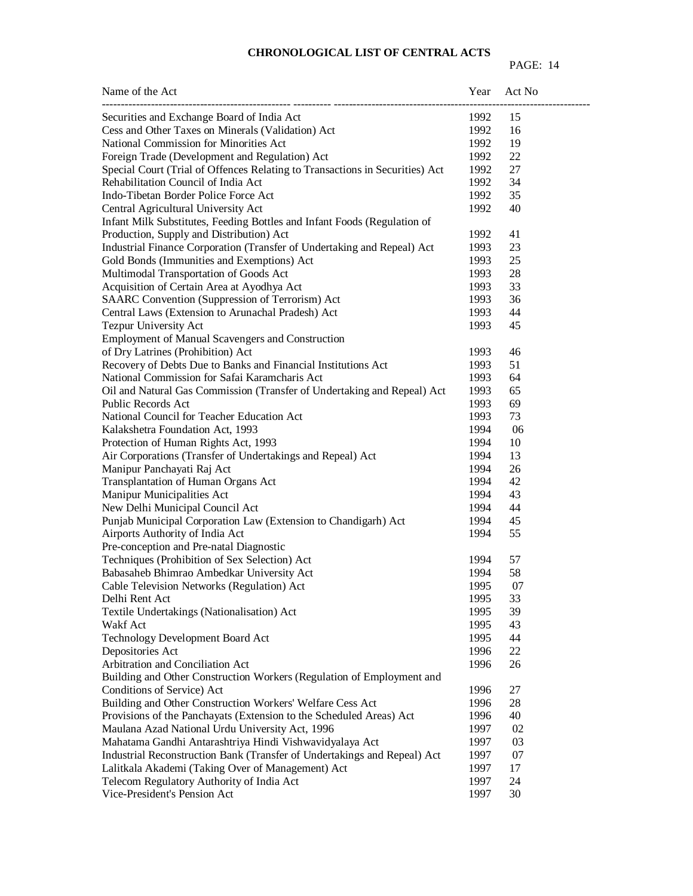| Name of the Act                                                              | Year | Act No |
|------------------------------------------------------------------------------|------|--------|
| Securities and Exchange Board of India Act                                   | 1992 | 15     |
| Cess and Other Taxes on Minerals (Validation) Act                            | 1992 | 16     |
| National Commission for Minorities Act                                       | 1992 | 19     |
| Foreign Trade (Development and Regulation) Act                               | 1992 | 22     |
| Special Court (Trial of Offences Relating to Transactions in Securities) Act | 1992 | 27     |
| Rehabilitation Council of India Act                                          | 1992 | 34     |
| Indo-Tibetan Border Police Force Act                                         | 1992 | 35     |
| Central Agricultural University Act                                          | 1992 | 40     |
| Infant Milk Substitutes, Feeding Bottles and Infant Foods (Regulation of     |      |        |
| Production, Supply and Distribution) Act                                     | 1992 | 41     |
| Industrial Finance Corporation (Transfer of Undertaking and Repeal) Act      | 1993 | 23     |
| Gold Bonds (Immunities and Exemptions) Act                                   | 1993 | 25     |
| Multimodal Transportation of Goods Act                                       | 1993 | 28     |
| Acquisition of Certain Area at Ayodhya Act                                   | 1993 | 33     |
| SAARC Convention (Suppression of Terrorism) Act                              | 1993 | 36     |
| Central Laws (Extension to Arunachal Pradesh) Act                            | 1993 | 44     |
| Tezpur University Act                                                        | 1993 | 45     |
| <b>Employment of Manual Scavengers and Construction</b>                      |      |        |
| of Dry Latrines (Prohibition) Act                                            | 1993 | 46     |
| Recovery of Debts Due to Banks and Financial Institutions Act                | 1993 | 51     |
| National Commission for Safai Karamcharis Act                                | 1993 | 64     |
| Oil and Natural Gas Commission (Transfer of Undertaking and Repeal) Act      | 1993 | 65     |
| Public Records Act                                                           | 1993 | 69     |
| National Council for Teacher Education Act                                   | 1993 | 73     |
| Kalakshetra Foundation Act, 1993                                             | 1994 | 06     |
| Protection of Human Rights Act, 1993                                         | 1994 | 10     |
| Air Corporations (Transfer of Undertakings and Repeal) Act                   | 1994 | 13     |
| Manipur Panchayati Raj Act                                                   | 1994 | 26     |
| Transplantation of Human Organs Act                                          | 1994 | 42     |
| Manipur Municipalities Act                                                   | 1994 | 43     |
| New Delhi Municipal Council Act                                              | 1994 | 44     |
| Punjab Municipal Corporation Law (Extension to Chandigarh) Act               | 1994 | 45     |
| Airports Authority of India Act                                              | 1994 | 55     |
| Pre-conception and Pre-natal Diagnostic                                      |      |        |
| Techniques (Prohibition of Sex Selection) Act                                | 1994 | 57     |
| Babasaheb Bhimrao Ambedkar University Act                                    | 1994 | 58     |
| Cable Television Networks (Regulation) Act                                   | 1995 | 07     |
| Delhi Rent Act                                                               | 1995 | 33     |
| Textile Undertakings (Nationalisation) Act                                   | 1995 | 39     |
| Wakf Act                                                                     | 1995 | 43     |
| Technology Development Board Act                                             | 1995 | 44     |
| Depositories Act                                                             | 1996 | 22     |
| Arbitration and Conciliation Act                                             | 1996 | 26     |
| Building and Other Construction Workers (Regulation of Employment and        |      |        |
| Conditions of Service) Act                                                   | 1996 | 27     |
| Building and Other Construction Workers' Welfare Cess Act                    | 1996 | 28     |
| Provisions of the Panchayats (Extension to the Scheduled Areas) Act          | 1996 | 40     |
| Maulana Azad National Urdu University Act, 1996                              | 1997 | 02     |
| Mahatama Gandhi Antarashtriya Hindi Vishwavidyalaya Act                      | 1997 | 03     |
| Industrial Reconstruction Bank (Transfer of Undertakings and Repeal) Act     | 1997 | 07     |
| Lalitkala Akademi (Taking Over of Management) Act                            | 1997 | 17     |
| Telecom Regulatory Authority of India Act                                    | 1997 | 24     |
| Vice-President's Pension Act                                                 | 1997 | 30     |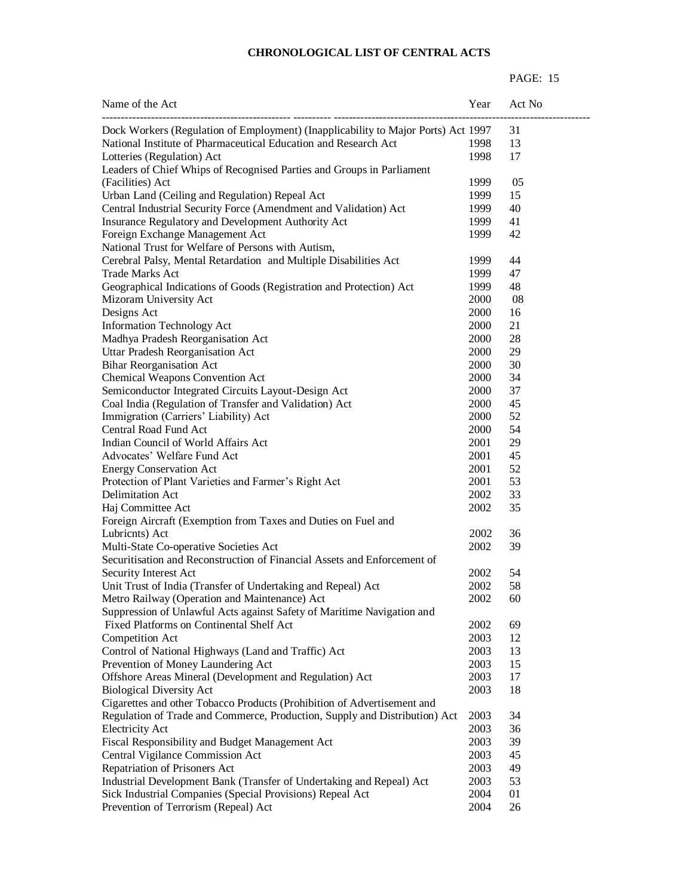| Name of the Act                                                                   | Year | Act No |
|-----------------------------------------------------------------------------------|------|--------|
| Dock Workers (Regulation of Employment) (Inapplicability to Major Ports) Act 1997 |      | 31     |
| National Institute of Pharmaceutical Education and Research Act                   | 1998 | 13     |
| Lotteries (Regulation) Act                                                        | 1998 | 17     |
| Leaders of Chief Whips of Recognised Parties and Groups in Parliament             |      |        |
| (Facilities) Act                                                                  | 1999 | 05     |
| Urban Land (Ceiling and Regulation) Repeal Act                                    | 1999 | 15     |
| Central Industrial Security Force (Amendment and Validation) Act                  | 1999 | 40     |
| Insurance Regulatory and Development Authority Act                                | 1999 | 41     |
| Foreign Exchange Management Act                                                   | 1999 | 42     |
| National Trust for Welfare of Persons with Autism,                                |      |        |
| Cerebral Palsy, Mental Retardation and Multiple Disabilities Act                  | 1999 | 44     |
| <b>Trade Marks Act</b>                                                            | 1999 | 47     |
| Geographical Indications of Goods (Registration and Protection) Act               | 1999 | 48     |
| Mizoram University Act                                                            | 2000 | 08     |
| Designs Act                                                                       | 2000 | 16     |
| <b>Information Technology Act</b>                                                 | 2000 | 21     |
| Madhya Pradesh Reorganisation Act                                                 | 2000 | 28     |
| Uttar Pradesh Reorganisation Act                                                  | 2000 | 29     |
| <b>Bihar Reorganisation Act</b>                                                   | 2000 | 30     |
| Chemical Weapons Convention Act                                                   | 2000 | 34     |
| Semiconductor Integrated Circuits Layout-Design Act                               | 2000 | 37     |
| Coal India (Regulation of Transfer and Validation) Act                            | 2000 | 45     |
| Immigration (Carriers' Liability) Act                                             | 2000 | 52     |
| Central Road Fund Act                                                             | 2000 | 54     |
| Indian Council of World Affairs Act                                               | 2001 | 29     |
| Advocates' Welfare Fund Act                                                       | 2001 | 45     |
| <b>Energy Conservation Act</b>                                                    | 2001 | 52     |
| Protection of Plant Varieties and Farmer's Right Act                              | 2001 | 53     |
| Delimitation Act                                                                  | 2002 | 33     |
| Haj Committee Act                                                                 | 2002 | 35     |
| Foreign Aircraft (Exemption from Taxes and Duties on Fuel and                     |      |        |
| Lubricnts) Act                                                                    | 2002 | 36     |
| Multi-State Co-operative Societies Act                                            | 2002 | 39     |
| Securitisation and Reconstruction of Financial Assets and Enforcement of          |      |        |
| Security Interest Act                                                             | 2002 | 54     |
| Unit Trust of India (Transfer of Undertaking and Repeal) Act                      | 2002 | 58     |
| Metro Railway (Operation and Maintenance) Act                                     | 2002 | 60     |
| Suppression of Unlawful Acts against Safety of Maritime Navigation and            |      |        |
| Fixed Platforms on Continental Shelf Act                                          | 2002 | 69     |
| Competition Act                                                                   | 2003 | 12     |
| Control of National Highways (Land and Traffic) Act                               | 2003 | 13     |
| Prevention of Money Laundering Act                                                | 2003 | 15     |
| Offshore Areas Mineral (Development and Regulation) Act                           | 2003 | 17     |
| <b>Biological Diversity Act</b>                                                   | 2003 | 18     |
| Cigarettes and other Tobacco Products (Prohibition of Advertisement and           |      |        |
| Regulation of Trade and Commerce, Production, Supply and Distribution) Act        | 2003 | 34     |
| <b>Electricity Act</b>                                                            | 2003 | 36     |
| Fiscal Responsibility and Budget Management Act                                   | 2003 | 39     |
| Central Vigilance Commission Act                                                  | 2003 | 45     |
| Repatriation of Prisoners Act                                                     | 2003 | 49     |
| Industrial Development Bank (Transfer of Undertaking and Repeal) Act              | 2003 | 53     |
| Sick Industrial Companies (Special Provisions) Repeal Act                         | 2004 | 01     |
| Prevention of Terrorism (Repeal) Act                                              | 2004 | 26     |
|                                                                                   |      |        |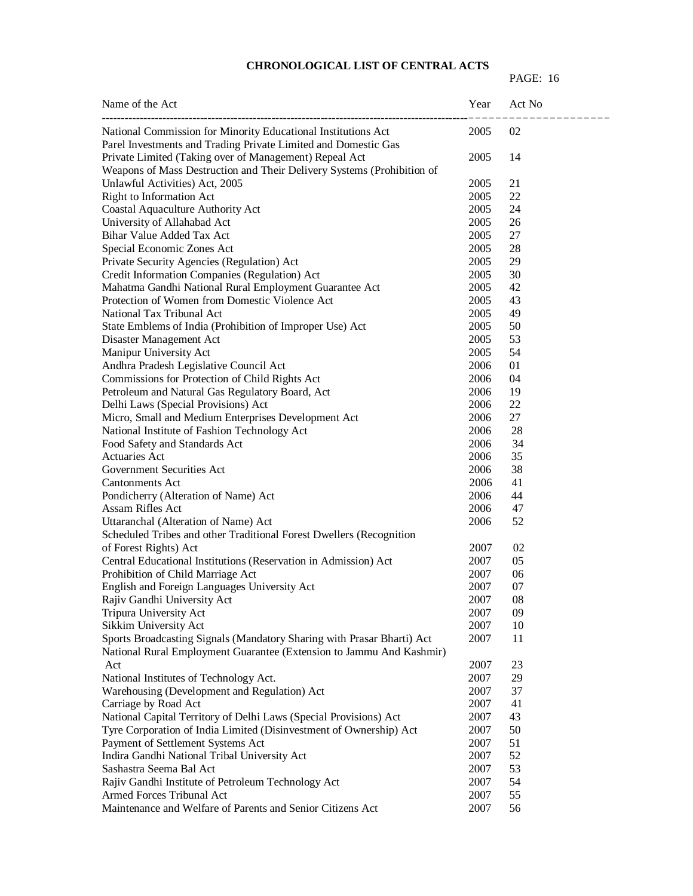| Name of the Act                                                                                                                                | Year         | Act No   |
|------------------------------------------------------------------------------------------------------------------------------------------------|--------------|----------|
| National Commission for Minority Educational Institutions Act<br>Parel Investments and Trading Private Limited and Domestic Gas                | 2005         | 02       |
| Private Limited (Taking over of Management) Repeal Act<br>Weapons of Mass Destruction and Their Delivery Systems (Prohibition of               | 2005         | 14       |
| Unlawful Activities) Act, 2005                                                                                                                 | 2005         | 21       |
| <b>Right to Information Act</b>                                                                                                                | 2005         | 22       |
| Coastal Aquaculture Authority Act                                                                                                              | 2005         | 24       |
| University of Allahabad Act                                                                                                                    | 2005         | 26       |
| Bihar Value Added Tax Act                                                                                                                      | 2005         | 27       |
| Special Economic Zones Act                                                                                                                     | 2005         | 28       |
| Private Security Agencies (Regulation) Act                                                                                                     | 2005         | 29       |
| Credit Information Companies (Regulation) Act                                                                                                  | 2005         | 30       |
| Mahatma Gandhi National Rural Employment Guarantee Act                                                                                         | 2005         | 42       |
| Protection of Women from Domestic Violence Act                                                                                                 | 2005         | 43       |
| National Tax Tribunal Act                                                                                                                      | 2005         | 49       |
| State Emblems of India (Prohibition of Improper Use) Act                                                                                       | 2005         | 50       |
| Disaster Management Act                                                                                                                        | 2005         | 53       |
| Manipur University Act                                                                                                                         | 2005         | 54       |
| Andhra Pradesh Legislative Council Act                                                                                                         | 2006         | 01       |
| Commissions for Protection of Child Rights Act                                                                                                 | 2006         | 04       |
| Petroleum and Natural Gas Regulatory Board, Act                                                                                                | 2006         | 19       |
|                                                                                                                                                | 2006         | 22       |
| Delhi Laws (Special Provisions) Act<br>Micro, Small and Medium Enterprises Development Act                                                     | 2006         | 27       |
|                                                                                                                                                | 2006         | 28       |
| National Institute of Fashion Technology Act                                                                                                   |              | 34       |
| Food Safety and Standards Act<br>Actuaries Act                                                                                                 | 2006<br>2006 | 35       |
|                                                                                                                                                |              | 38       |
| Government Securities Act                                                                                                                      | 2006         | 41       |
| <b>Cantonments Act</b>                                                                                                                         | 2006<br>2006 | 44       |
| Pondicherry (Alteration of Name) Act<br>Assam Rifles Act                                                                                       |              |          |
|                                                                                                                                                | 2006         | 47<br>52 |
| Uttaranchal (Alteration of Name) Act                                                                                                           | 2006         |          |
| Scheduled Tribes and other Traditional Forest Dwellers (Recognition                                                                            |              |          |
| of Forest Rights) Act                                                                                                                          | 2007         | 02       |
| Central Educational Institutions (Reservation in Admission) Act                                                                                | 2007         | 05       |
| Prohibition of Child Marriage Act                                                                                                              | 2007         | 06       |
| English and Foreign Languages University Act                                                                                                   | 2007         | 07<br>08 |
| Rajiv Gandhi University Act                                                                                                                    | 2007         |          |
| Tripura University Act                                                                                                                         | 2007         | 09       |
| Sikkim University Act                                                                                                                          | 2007         | 10       |
| Sports Broadcasting Signals (Mandatory Sharing with Prasar Bharti) Act<br>National Rural Employment Guarantee (Extension to Jammu And Kashmir) | 2007         | 11       |
| Act                                                                                                                                            | 2007         | 23       |
| National Institutes of Technology Act.                                                                                                         | 2007         | 29       |
| Warehousing (Development and Regulation) Act                                                                                                   | 2007         | 37       |
| Carriage by Road Act                                                                                                                           | 2007         | 41       |
| National Capital Territory of Delhi Laws (Special Provisions) Act                                                                              | 2007         | 43       |
| Tyre Corporation of India Limited (Disinvestment of Ownership) Act                                                                             | 2007         | 50       |
| Payment of Settlement Systems Act                                                                                                              | 2007         | 51       |
| Indira Gandhi National Tribal University Act                                                                                                   | 2007         | 52       |
| Sashastra Seema Bal Act                                                                                                                        | 2007         | 53       |
| Rajiv Gandhi Institute of Petroleum Technology Act                                                                                             | 2007         | 54       |
| Armed Forces Tribunal Act                                                                                                                      | 2007         | 55       |
| Maintenance and Welfare of Parents and Senior Citizens Act                                                                                     | 2007         | 56       |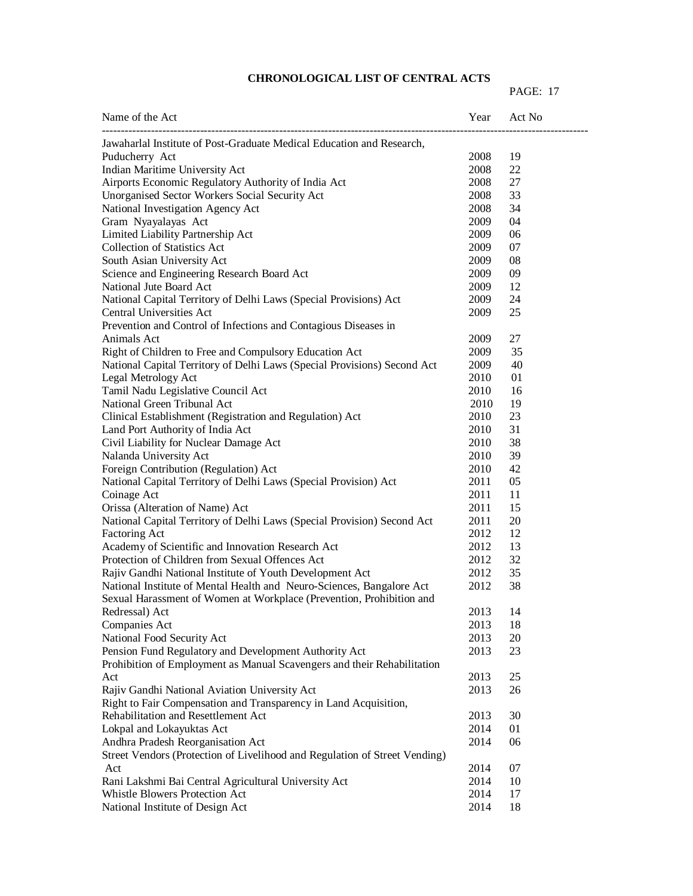| Name of the Act                                                            | Year | Act No |
|----------------------------------------------------------------------------|------|--------|
| Jawaharlal Institute of Post-Graduate Medical Education and Research,      |      |        |
| Puducherry Act                                                             | 2008 | 19     |
| Indian Maritime University Act                                             | 2008 | 22     |
| Airports Economic Regulatory Authority of India Act                        | 2008 | 27     |
| Unorganised Sector Workers Social Security Act                             | 2008 | 33     |
| National Investigation Agency Act                                          | 2008 | 34     |
| Gram Nyayalayas Act                                                        | 2009 | 04     |
| Limited Liability Partnership Act                                          | 2009 | 06     |
| <b>Collection of Statistics Act</b>                                        | 2009 | 07     |
| South Asian University Act                                                 | 2009 | 08     |
| Science and Engineering Research Board Act                                 | 2009 | 09     |
| National Jute Board Act                                                    | 2009 | 12     |
| National Capital Territory of Delhi Laws (Special Provisions) Act          | 2009 | 24     |
| <b>Central Universities Act</b>                                            | 2009 | 25     |
| Prevention and Control of Infections and Contagious Diseases in            |      |        |
| Animals Act                                                                | 2009 | 27     |
| Right of Children to Free and Compulsory Education Act                     | 2009 | 35     |
| National Capital Territory of Delhi Laws (Special Provisions) Second Act   | 2009 | 40     |
| Legal Metrology Act                                                        | 2010 | 01     |
| Tamil Nadu Legislative Council Act                                         | 2010 | 16     |
| National Green Tribunal Act                                                | 2010 | 19     |
| Clinical Establishment (Registration and Regulation) Act                   | 2010 | 23     |
| Land Port Authority of India Act                                           | 2010 | 31     |
| Civil Liability for Nuclear Damage Act                                     | 2010 | 38     |
| Nalanda University Act                                                     | 2010 | 39     |
| Foreign Contribution (Regulation) Act                                      | 2010 | 42     |
| National Capital Territory of Delhi Laws (Special Provision) Act           | 2011 | 05     |
| Coinage Act                                                                | 2011 | 11     |
| Orissa (Alteration of Name) Act                                            | 2011 | 15     |
| National Capital Territory of Delhi Laws (Special Provision) Second Act    | 2011 | 20     |
| Factoring Act                                                              | 2012 | 12     |
| Academy of Scientific and Innovation Research Act                          | 2012 | 13     |
| Protection of Children from Sexual Offences Act                            | 2012 | 32     |
| Rajiv Gandhi National Institute of Youth Development Act                   | 2012 | 35     |
| National Institute of Mental Health and Neuro-Sciences, Bangalore Act      | 2012 | 38     |
| Sexual Harassment of Women at Workplace (Prevention, Prohibition and       |      |        |
| Redressal) Act                                                             | 2013 | 14     |
| Companies Act                                                              | 2013 | 18     |
| National Food Security Act                                                 | 2013 | 20     |
| Pension Fund Regulatory and Development Authority Act                      | 2013 | 23     |
| Prohibition of Employment as Manual Scavengers and their Rehabilitation    |      |        |
| Act                                                                        | 2013 | 25     |
| Rajiv Gandhi National Aviation University Act                              | 2013 | 26     |
| Right to Fair Compensation and Transparency in Land Acquisition,           |      |        |
| Rehabilitation and Resettlement Act                                        | 2013 | 30     |
| Lokpal and Lokayuktas Act                                                  | 2014 | 01     |
| Andhra Pradesh Reorganisation Act                                          | 2014 | 06     |
| Street Vendors (Protection of Livelihood and Regulation of Street Vending) |      |        |
| Act                                                                        | 2014 | 07     |
| Rani Lakshmi Bai Central Agricultural University Act                       | 2014 | 10     |
| Whistle Blowers Protection Act                                             | 2014 | 17     |
| National Institute of Design Act                                           | 2014 | 18     |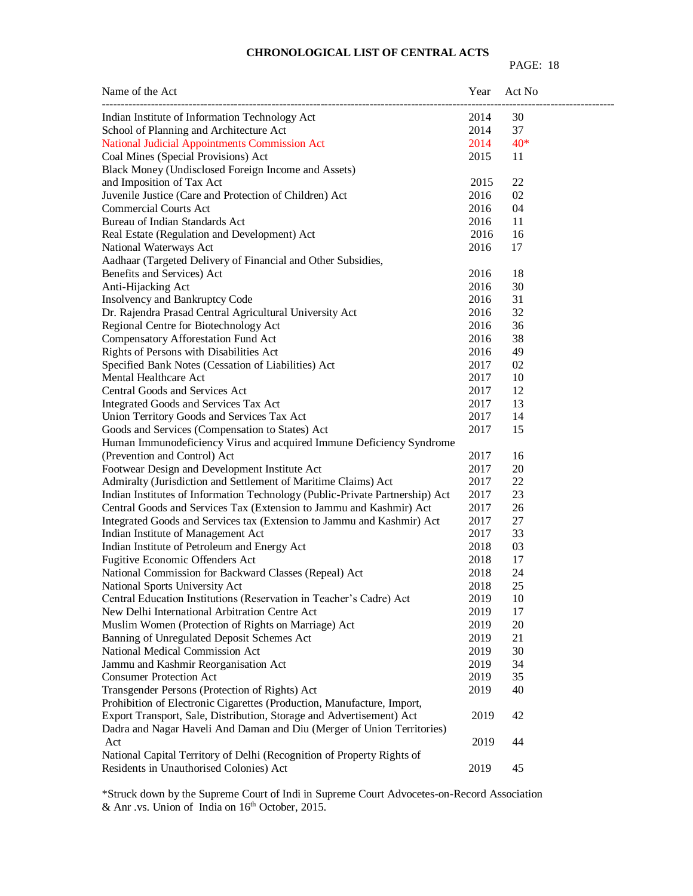#### PAGE: 18

| Name of the Act                                                              | Year | Act No |  |
|------------------------------------------------------------------------------|------|--------|--|
| Indian Institute of Information Technology Act                               | 2014 | 30     |  |
| School of Planning and Architecture Act                                      | 2014 | 37     |  |
| National Judicial Appointments Commission Act                                | 2014 | $40*$  |  |
| Coal Mines (Special Provisions) Act                                          | 2015 | 11     |  |
| Black Money (Undisclosed Foreign Income and Assets)                          |      |        |  |
| and Imposition of Tax Act                                                    | 2015 | 22     |  |
| Juvenile Justice (Care and Protection of Children) Act                       | 2016 | 02     |  |
| <b>Commercial Courts Act</b>                                                 | 2016 | 04     |  |
| Bureau of Indian Standards Act                                               | 2016 | 11     |  |
| Real Estate (Regulation and Development) Act                                 | 2016 | 16     |  |
| National Waterways Act                                                       | 2016 | 17     |  |
| Aadhaar (Targeted Delivery of Financial and Other Subsidies,                 |      |        |  |
| Benefits and Services) Act                                                   | 2016 | 18     |  |
| Anti-Hijacking Act                                                           | 2016 | 30     |  |
| Insolvency and Bankruptcy Code                                               | 2016 | 31     |  |
| Dr. Rajendra Prasad Central Agricultural University Act                      | 2016 | 32     |  |
| Regional Centre for Biotechnology Act                                        | 2016 | 36     |  |
| Compensatory Afforestation Fund Act                                          | 2016 | 38     |  |
| Rights of Persons with Disabilities Act                                      | 2016 | 49     |  |
| Specified Bank Notes (Cessation of Liabilities) Act                          | 2017 | 02     |  |
| Mental Healthcare Act                                                        | 2017 | 10     |  |
| Central Goods and Services Act                                               | 2017 | 12     |  |
| Integrated Goods and Services Tax Act                                        | 2017 | 13     |  |
| Union Territory Goods and Services Tax Act                                   | 2017 | 14     |  |
| Goods and Services (Compensation to States) Act                              | 2017 | 15     |  |
| Human Immunodeficiency Virus and acquired Immune Deficiency Syndrome         |      |        |  |
| (Prevention and Control) Act                                                 | 2017 | 16     |  |
| Footwear Design and Development Institute Act                                | 2017 | 20     |  |
| Admiralty (Jurisdiction and Settlement of Maritime Claims) Act               | 2017 | 22     |  |
| Indian Institutes of Information Technology (Public-Private Partnership) Act | 2017 | 23     |  |
| Central Goods and Services Tax (Extension to Jammu and Kashmir) Act          | 2017 | 26     |  |
| Integrated Goods and Services tax (Extension to Jammu and Kashmir) Act       | 2017 | 27     |  |
| Indian Institute of Management Act                                           | 2017 | 33     |  |
| Indian Institute of Petroleum and Energy Act                                 | 2018 | 03     |  |
| Fugitive Economic Offenders Act                                              | 2018 | 17     |  |
| National Commission for Backward Classes (Repeal) Act                        | 2018 | 24     |  |
| National Sports University Act                                               | 2018 | 25     |  |
| Central Education Institutions (Reservation in Teacher's Cadre) Act          | 2019 | 10     |  |
| New Delhi International Arbitration Centre Act                               | 2019 | 17     |  |
| Muslim Women (Protection of Rights on Marriage) Act                          | 2019 | 20     |  |
| Banning of Unregulated Deposit Schemes Act                                   | 2019 | 21     |  |
| National Medical Commission Act                                              | 2019 | 30     |  |
| Jammu and Kashmir Reorganisation Act                                         | 2019 | 34     |  |
| <b>Consumer Protection Act</b>                                               | 2019 | 35     |  |
| Transgender Persons (Protection of Rights) Act                               | 2019 | 40     |  |
| Prohibition of Electronic Cigarettes (Production, Manufacture, Import,       |      |        |  |
| Export Transport, Sale, Distribution, Storage and Advertisement) Act         | 2019 | 42     |  |
| Dadra and Nagar Haveli And Daman and Diu (Merger of Union Territories)       |      |        |  |
| Act                                                                          | 2019 | 44     |  |
| National Capital Territory of Delhi (Recognition of Property Rights of       |      |        |  |
| Residents in Unauthorised Colonies) Act                                      | 2019 | 45     |  |
|                                                                              |      |        |  |

\*Struck down by the Supreme Court of Indi in Supreme Court Advocetes-on-Record Association & Anr. vs. Union of India on  $16<sup>th</sup>$  October, 2015.